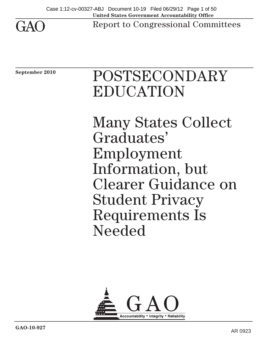

Report to Congressional Committees

**September 2010** 

# POSTSECONDARY EDUCATION

Many States Collect Graduates' Employment Information, but Clearer Guidance on Student Privacy Requirements Is Needed

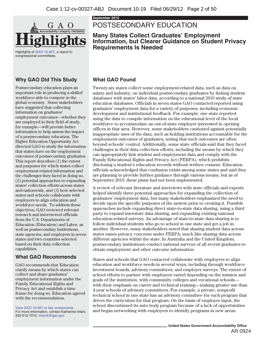

Highlights of GAO-10-927, a report to congressional committees.

### **Why GAO Did This Study**

Postsecondary education plays an important role in producing a skilled workforce able to compete in the global economy. Some stakeholders have suggested that collecting information on graduates' employment outcomes—whether they are employed in their field of study, for example—will provide better information to help assess the impact of a postsecondary education. The Higher Education Opportunity Act directed GAO to study the information that states have on the employment outcomes of postsecondary graduates. This report describes (1) the extent and purposes for which states collect employment-related information and the challenges they faced in doing so, (2) potential approaches to expanding states' collection efforts across states and nationwide, and (3) how selected states and schools collaborate with employers to align education and workforce needs. To address these objectives, GAO reviewed relevant research and interviewed officials from the U.S. Departments of Education (Education) and Labor, as well as postsecondary institutions, state agencies, and employers in seven states and two countries selected based on their data collection capabilities.

### **What GAO Recommends**

GAO recommends that Education clarify means by which states can collect and share graduates' employment information under the Family Educational Rights and Privacy Act and establish a time frame for doing so. Education agreed with the recommendation.

For more information, contact Katherine Iritani, 202-512-7215, iritanik@gao.gov.

**September 2010** 

## POSTSECONDARY EDUCATION

**Many States Collect Graduates' Employment Information, but Clearer Guidance on Student Privacy Requirements Is Needed** 

### **What GAO Found**

Twenty-six states collect some employment-related data, such as data on salary and industry, on individual postsecondary graduates by linking student databases with states' labor data, according to a national 2010 study of state education databases. Officials in seven states GAO contacted reported using graduates' employment data for a variety of purposes, including economic development and institutional feedback. For example, one state reported using the data to compile information on the educational level of the local workforce to accommodate an out-of-state employer interested in opening offices in that area. However, some stakeholders cautioned against potentially inappropriate uses of the data, such as holding institutions accountable for the employment outcomes of graduates, noting that such outcomes are often beyond schools' control. Additionally, some state officials said that they faced challenges in their data collection efforts, including the means by which they can appropriately link student and employment data and comply with the Family Educational Rights and Privacy Act (FERPA), which prohibits disclosing a student's education records without written consent. Education officials acknowledged that confusion exists among some states and said they are planning to provide further guidance through various means, but as of September 2010, these plans had not been implemented.

A review of relevant literature and interviews with state officials and experts helped identify three potential approaches for expanding the collection of graduates' employment data, but many stakeholders emphasized the need to decide upon the specific purposes of the system prior to creating it. Possible approaches include expanding direct state-to-state data sharing, using a third party to expand interstate data sharing, and expanding existing national education-related surveys. An advantage of state-to-state data sharing is to follow individual students who go to school in one state and get a job in another. However, many stakeholders noted that sharing student data across states raises privacy concerns under FERPA, much like sharing data across different agencies within the state. In Australia and the United Kingdom, postsecondary institutions conduct national surveys of all recent graduates to obtain employment and other outcome information.

States and schools that GAO contacted collaborate with employers to align education and workforce needs in several ways, including through workforce investment boards, advisory committees, and employer surveys. The extent of school efforts to partner with employers varied depending on the mission and goals of the institution, with community colleges and vocational schools with their emphasis on career and technical training—making greater use than 4-year schools of advisory committees. For example, a private, nonprofit technical school in one state has an advisory committee for each program that drives the curriculum for that program. On the basis of employer input, the school discontinued its auto body program because of a lack of opportunities View GAO-10-927 or key components.<br>For more information, contact Katherine Iritani. and began networking with employers to identify programs in new areas.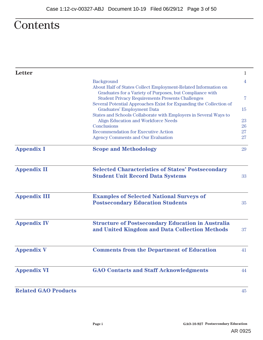## **Contents**

| Letter                      |                                                                                                                                                                                           | 1        |
|-----------------------------|-------------------------------------------------------------------------------------------------------------------------------------------------------------------------------------------|----------|
|                             | Background<br>About Half of States Collect Employment-Related Information on                                                                                                              | 4        |
|                             | Graduates for a Variety of Purposes, but Compliance with<br><b>Student Privacy Requirements Presents Challenges</b><br>Several Potential Approaches Exist for Expanding the Collection of | 7        |
|                             | <b>Graduates' Employment Data</b><br>States and Schools Collaborate with Employers in Several Ways to                                                                                     | 15       |
|                             | <b>Align Education and Workforce Needs</b>                                                                                                                                                | 23       |
|                             | Conclusions<br><b>Recommendation for Executive Action</b>                                                                                                                                 | 26<br>27 |
|                             | <b>Agency Comments and Our Evaluation</b>                                                                                                                                                 | 27       |
| <b>Appendix I</b>           | <b>Scope and Methodology</b>                                                                                                                                                              | 29       |
| <b>Appendix II</b>          | <b>Selected Characteristics of States' Postsecondary</b><br><b>Student Unit Record Data Systems</b>                                                                                       | 33       |
| <b>Appendix III</b>         | <b>Examples of Selected National Surveys of</b><br><b>Postsecondary Education Students</b>                                                                                                | 35       |
| <b>Appendix IV</b>          | <b>Structure of Postsecondary Education in Australia</b>                                                                                                                                  |          |
|                             | and United Kingdom and Data Collection Methods                                                                                                                                            | 37       |
| <b>Appendix V</b>           | <b>Comments from the Department of Education</b>                                                                                                                                          | 41       |
| <b>Appendix VI</b>          | <b>GAO Contacts and Staff Acknowledgments</b>                                                                                                                                             | 44       |
| <b>Related GAO Products</b> |                                                                                                                                                                                           | 45       |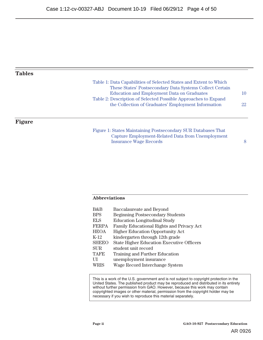#### **Tables**

| Table 1: Data Capabilities of Selected States and Extent to Which |     |
|-------------------------------------------------------------------|-----|
| These States' Postsecondary Data Systems Collect Certain          |     |
| <b>Education and Employment Data on Graduates</b>                 | 10  |
| Table 2: Description of Selected Possible Approaches to Expand    |     |
| the Collection of Graduates' Employment Information               | 22. |
|                                                                   |     |

#### **Figure**

Figure 1: States Maintaining Postsecondary SUR Databases That Capture Employment-Related Data from Unemployment Insurance Wage Records 8

#### **Abbreviations**

| B&B          | <b>Baccalaureate and Beyond</b>                  |
|--------------|--------------------------------------------------|
| <b>BPS</b>   | <b>Beginning Postsecondary Students</b>          |
| <b>ELS</b>   | <b>Education Longitudinal Study</b>              |
| <b>FERPA</b> | <b>Family Educational Rights and Privacy Act</b> |
| <b>HEOA</b>  | <b>Higher Education Opportunity Act</b>          |
| $K-12$       | kindergarten through 12th grade                  |
| <b>SHEEO</b> | <b>State Higher Education Executive Officers</b> |
| <b>SUR</b>   | student unit record                              |
| <b>TAFE</b>  | <b>Training and Further Education</b>            |
| U            | unemployment insurance                           |
| WRIS         | Wage Record Interchange System                   |

This is a work of the U.S. government and is not subject to copyright protection in the United States. The published product may be reproduced and distributed in its entirety without further permission from GAO. However, because this work may contain copyrighted images or other material, permission from the copyright holder may be necessary if you wish to reproduce this material separately.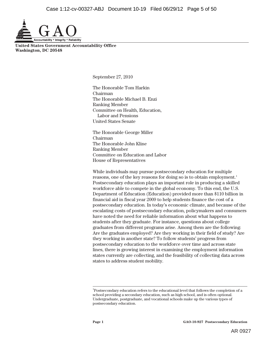

**United States Government Accountability Office Washington, DC 20548** 

September 27, 2010

The Honorable Tom Harkin Chairman The Honorable Michael B. Enzi Ranking Member Committee on Health, Education, Labor and Pensions United States Senate

The Honorable George Miller Chairman The Honorable John Kline Ranking Member Committee on Education and Labor House of Representatives

While individuals may pursue postsecondary education for multiple reasons, one of the key reasons for doing so is to obtain employment.<sup>1</sup> Postsecondary education plays an important role in producing a skilled workforce able to compete in the global economy. To this end, the U.S. Department of Education (Education) provided more than \$110 billion in financial aid in fiscal year 2009 to help students finance the cost of a postsecondary education. In today's economic climate, and because of the escalating costs of postsecondary education, policymakers and consumers have noted the need for reliable information about what happens to students after they graduate. For instance, questions about college graduates from different programs arise. Among them are the following: Are the graduates employed? Are they working in their field of study? Are they working in another state? To follow students' progress from postsecondary education to the workforce over time and across state lines, there is growing interest in examining the employment information states currently are collecting, and the feasibility of collecting data across states to address student mobility.

 $\overline{a}$ 

<sup>1</sup> Postsecondary education refers to the educational level that follows the completion of a school providing a secondary education, such as high school, and is often optional. Undergraduate, postgraduate, and vocational schools make up the various types of postsecondary education.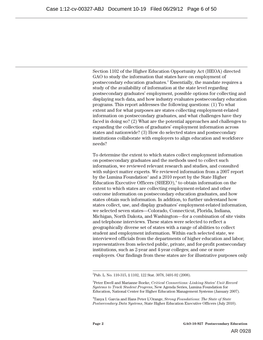Section 1102 of the Higher Education Opportunity Act (HEOA) directed GAO to study the information that states have on employment of postsecondary education graduates.2 Essentially, the mandate requires a study of the availability of information at the state level regarding postsecondary graduates' employment, possible options for collecting and displaying such data, and how industry evaluates postsecondary education programs. This report addresses the following questions: (1) To what extent and for what purposes are states collecting employment-related information on postsecondary graduates, and what challenges have they faced in doing so? (2) What are the potential approaches and challenges to expanding the collection of graduates' employment information across states and nationwide? (3) How do selected states and postsecondary institutions collaborate with employers to align education and workforce needs?

To determine the extent to which states collect employment information on postsecondary graduates and the methods used to collect such information, we reviewed relevant research and studies, and consulted with subject matter experts. We reviewed information from a 2007 report by the Lumina Foundation<sup>3</sup> and a 2010 report by the State Higher Education Executive Officers (SHEEO),<sup>4</sup> to obtain information on the extent to which states are collecting employment-related and other outcome information on postsecondary education graduates, and how states obtain such information. In addition, to further understand how states collect, use, and display graduates' employment-related information, we selected seven states—Colorado, Connecticut, Florida, Indiana, Michigan, North Dakota, and Washington—for a combination of site visits and telephone interviews. These states were selected to reflect a geographically diverse set of states with a range of abilities to collect student and employment information. Within each selected state, we interviewed officials from the departments of higher education and labor; representatives from selected public, private, and for-profit postsecondary institutions, such as 2-year and 4-year colleges; and one or more employers. Our findings from these states are for illustrative purposes only

 $\frac{1}{2}$ Pub. L. No. 110-315, § 1102, 122 Stat. 3078, 3491-92 (2008).

<sup>3</sup> Peter Ewell and Marianne Boeke, *Critical Connections: Linking States' Unit Record Systems to Track Student Progress*, New Agenda Series, Lumina Foundation for Education, National Center for Higher Education Management Systems (January 2007).

<sup>4</sup> Tanya I. Garcia and Hans Peter L'Orange, *Strong Foundations: The State of State Postsecondary Data Systems*, State Higher Education Executive Officers (July 2010).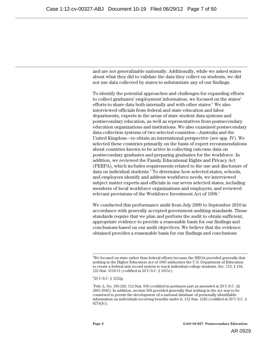and are not generalizable nationally. Additionally, while we asked states about what they did to validate the data they collect on students, we did not use data collected by states to substantiate any of our findings.

To identify the potential approaches and challenges for expanding efforts to collect graduates' employment information, we focused on the states' efforts to share data both internally and with other states.<sup>5</sup> We also interviewed officials from federal and state education and labor departments, experts in the areas of state student data systems and postsecondary education, as well as representatives from postsecondary education organizations and institutions. We also examined postsecondary data collection systems of two selected countries—Australia and the United Kingdom—to obtain an international perspective (see app. IV). We selected these countries primarily on the basis of expert recommendations about countries known to be active in collecting outcome data on postsecondary graduates and preparing graduates for the workforce. In addition, we reviewed the Family Educational Rights and Privacy Act (FERPA), which includes requirements related to the use and disclosure of data on individual students.<sup>6</sup> To determine how selected states, schools, and employers identify and address workforce needs, we interviewed subject matter experts and officials in our seven selected states, including members of local workforce organizations and employers, and reviewed relevant provisions of the Workforce Investment Act of 1998.<sup>7</sup>

We conducted this performance audit from July 2009 to September 2010 in accordance with generally accepted government auditing standards. Those standards require that we plan and perform the audit to obtain sufficient, appropriate evidence to provide a reasonable basis for our findings and conclusions based on our audit objectives. We believe that the evidence obtained provides a reasonable basis for our findings and conclusions

<sup>-&</sup>lt;br>5  ${}^{5}$ We focused on state rather than federal efforts because the HEOA provided generally that nothing in the Higher Education Act of 1965 authorizes the U.S. Department of Education to create a federal unit record system to track individual college students. Sec. 113, § 134, 122 Stat. 3110-11 (codified at 20 U.S.C. § 1015c).

<sup>6</sup> 20 U.S.C. § 1232g.

 $^7$ Pub. L. No. 105-220, 112 Stat. 936 (codified in pertinent part as amended at 29 U.S.C. §§ 2801-2945). In addition, section 504 provided generally that nothing in the act was to be construed to permit the development of a national database of personally identifiable information on individuals receiving benefits under it. 112 Stat. 1245 (codified at 20 U.S.C. § 9274(b)).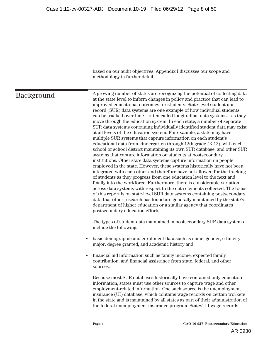|                   | based on our audit objectives. Appendix I discusses our scope and<br>methodology in further detail.                                                                                                                                                                                                                                                                                                                                                                                                                                                                                                                                                                                                                                                                                                                                                                                                                                                                                                                                                                                                                                                                                                                                                                                                                                                                                                                                                                                                                                                                                                                                                            |
|-------------------|----------------------------------------------------------------------------------------------------------------------------------------------------------------------------------------------------------------------------------------------------------------------------------------------------------------------------------------------------------------------------------------------------------------------------------------------------------------------------------------------------------------------------------------------------------------------------------------------------------------------------------------------------------------------------------------------------------------------------------------------------------------------------------------------------------------------------------------------------------------------------------------------------------------------------------------------------------------------------------------------------------------------------------------------------------------------------------------------------------------------------------------------------------------------------------------------------------------------------------------------------------------------------------------------------------------------------------------------------------------------------------------------------------------------------------------------------------------------------------------------------------------------------------------------------------------------------------------------------------------------------------------------------------------|
| <b>Background</b> | A growing number of states are recognizing the potential of collecting data<br>at the state level to inform changes in policy and practice that can lead to<br>improved educational outcomes for students. State-level student unit<br>record (SUR) data systems are one example of how individual students<br>can be tracked over time-often called longitudinal data systems-as they<br>move through the education system. In each state, a number of separate<br>SUR data systems containing individually identified student data may exist<br>at all levels of the education system. For example, a state may have<br>multiple SUR systems that capture information on each student's<br>educational data from kindergarten through 12th grade (K-12), with each<br>school or school district maintaining its own SUR database, and other SUR<br>systems that capture information on students at postsecondary<br>institutions. Other state data systems capture information on people<br>employed in the state. However, these systems historically have not been<br>integrated with each other and therefore have not allowed for the tracking<br>of students as they progress from one education level to the next and<br>finally into the workforce. Furthermore, there is considerable variation<br>across data systems with respect to the data elements collected. The focus<br>of this report is on state-level SUR data systems containing postsecondary<br>data that other research has found are generally maintained by the state's<br>department of higher education or a similar agency that coordinates<br>postsecondary education efforts. |
|                   | The types of student data maintained in postsecondary SUR data systems<br>include the following:                                                                                                                                                                                                                                                                                                                                                                                                                                                                                                                                                                                                                                                                                                                                                                                                                                                                                                                                                                                                                                                                                                                                                                                                                                                                                                                                                                                                                                                                                                                                                               |
|                   | basic demographic and enrollment data such as name, gender, ethnicity,<br>$\bullet$<br>major, degree granted, and academic history and                                                                                                                                                                                                                                                                                                                                                                                                                                                                                                                                                                                                                                                                                                                                                                                                                                                                                                                                                                                                                                                                                                                                                                                                                                                                                                                                                                                                                                                                                                                         |
|                   | financial aid information such as family income, expected family<br>contribution, and financial assistance from state, federal, and other<br>sources.                                                                                                                                                                                                                                                                                                                                                                                                                                                                                                                                                                                                                                                                                                                                                                                                                                                                                                                                                                                                                                                                                                                                                                                                                                                                                                                                                                                                                                                                                                          |
|                   | Because most SUR databases historically have contained only education<br>information, states must use other sources to capture wage and other<br>employment-related information. One such source is the unemployment<br>insurance (UI) database, which contains wage records on certain workers<br>in the state and is maintained by all states as part of their administration of<br>the federal unemployment insurance program. States' UI wage records                                                                                                                                                                                                                                                                                                                                                                                                                                                                                                                                                                                                                                                                                                                                                                                                                                                                                                                                                                                                                                                                                                                                                                                                      |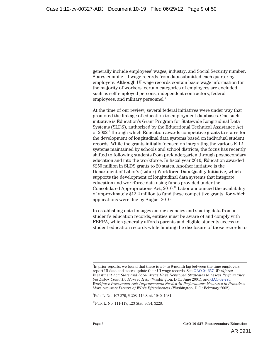generally include employees' wages, industry, and Social Security number. States compile UI wage records from data submitted each quarter by employers. Although UI wage records contain basic wage information for the majority of workers, certain categories of employees are excluded, such as self-employed persons, independent contractors, federal employees, and military personnel.<sup>8</sup>

At the time of our review, several federal initiatives were under way that promoted the linkage of education to employment databases. One such initiative is Education's Grant Program for Statewide Longitudinal Data Systems (SLDS), authorized by the Educational Technical Assistance Act of 2002,<sup>9</sup> through which Education awards competitive grants to states for the development of longitudinal data systems based on individual student records. While the grants initially focused on integrating the various K-12 systems maintained by schools and school districts, the focus has recently shifted to following students from prekindergarten through postsecondary education and into the workforce. In fiscal year 2010, Education awarded \$250 million in SLDS grants to 20 states. Another initiative is the Department of Labor's (Labor) Workforce Data Quality Initiative, which supports the development of longitudinal data systems that integrate education and workforce data using funds provided under the Consolidated Appropriations Act, 2010.<sup>10</sup> Labor announced the availability of approximately \$12.2 million to fund these competitive grants, for which applications were due by August 2010.

In establishing data linkages among agencies and sharing data from a student's education records, entities must be aware of and comply with FERPA, which generally affords parents and eligible students access to student education records while limiting the disclosure of those records to

9 Pub. L. No. 107-279, § 208, 116 Stat. 1940, 1981.

<sup>10</sup>Pub. L. No. 111-117, 123 Stat. 3034, 3228.

 <sup>8</sup>  ${}^{8}$ In prior reports, we found that there is a 6- to 9-month lag between the time employers report UI data and states update their UI wage records. See GAO-04-657, *Workforce Investment Act: State and Local Areas Have Developed Strategies to Assess Performance, but Labor Could Do More to Help* (Washington, D.C.: June 2004), and GAO-02-275, *Workforce Investment Act: Improvements Needed in Performance Measures to Provide a More Accurate Picture of WIA's Effectiveness* (Washington, D.C.: February 2002).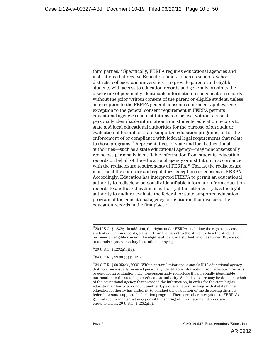third parties.11 Specifically, FERPA requires educational agencies and institutions that receive Education funds—such as schools, school districts, colleges, and universities—to provide parents and eligible students with access to education records and generally prohibits the disclosure of personally identifiable information from education records without the prior written consent of the parent or eligible student, unless an exception to the FERPA general consent requirement applies. One exception to the general consent requirement in FERPA permits educational agencies and institutions to disclose, without consent, personally identifiable information from students' education records to state and local educational authorities for the purpose of an audit or evaluation of federal- or state-supported education programs, or for the enforcement of or compliance with federal legal requirements that relate to those programs.<sup>12</sup> Representatives of state and local educational authorities—such as a state educational agency—may nonconsensually redisclose personally identifiable information from students' education records on behalf of the educational agency or institution in accordance with the redisclosure requirements of FERPA.<sup>13</sup> That is, the redisclosure must meet the statutory and regulatory exceptions to consent in FERPA. Accordingly, Education has interpreted FERPA to permit an educational authority to redisclose personally identifiable information from education records to another educational authority if the latter entity has the legal authority to audit or evaluate the federal- or state-supported education program of the educational agency or institution that disclosed the education records in the first place.<sup>14</sup>

 $1220$  U.S.C. § 1232g(b)(3).

 $1120$  U.S.C. § 1232g. In addition, the rights under FERPA, including the right to access student education records, transfer from the parent to the student when the student becomes an eligible student. An eligible student is a student who has turned 18 years old or attends a postsecondary institution at any age.

<sup>1334</sup> C.F.R. § 99.33 (b) (2009).

<sup>&</sup>lt;sup>14</sup>34 C.F.R. § 99.35(a) (2009). Within certain limitations, a state's K-12 educational agency that nonconsensually received personally identifiable information from education records to conduct an evaluation may nonconsensually redisclose the personally identifiable information to the state higher education authority. Such disclosure may be done on behalf of the educational agency that provided the information, in order for the state higher education authority to conduct another type of evaluation, as long as that state higher education authority has authority to conduct the evaluation of the disclosing districts' federal- or state-supported education program. There are other exceptions to FERPA's general requirements that may permit the sharing of information under certain circumstances. 20 U.S.C. § 1232g(b).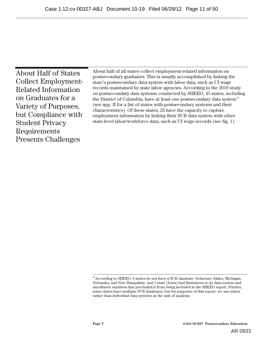| About half of all states collect employment-related information on<br><b>About Half of States</b><br>postsecondary graduates. This is usually accomplished by linking the<br><b>Collect Employment-</b><br>state's postsecondary data system with labor data, such as UI wage<br>records maintained by state labor agencies. According to the 2010 study<br><b>Related Information</b><br>on postsecondary data systems conducted by SHEEO, 45 states, including<br>on Graduates for a<br>the District of Columbia, have at least one postsecondary data system <sup>15</sup><br>(see app. II for a list of states with postsecondary systems and their<br>Variety of Purposes,<br>characteristics). Of these states, 26 have the capacity to capture<br>but Compliance with<br>employment information by linking their SUR data system with other<br>state-level labor/workforce data, such as UI wage records (see fig. 1).<br><b>Student Privacy</b><br>Requirements<br><b>Presents Challenges</b> |
|-------------------------------------------------------------------------------------------------------------------------------------------------------------------------------------------------------------------------------------------------------------------------------------------------------------------------------------------------------------------------------------------------------------------------------------------------------------------------------------------------------------------------------------------------------------------------------------------------------------------------------------------------------------------------------------------------------------------------------------------------------------------------------------------------------------------------------------------------------------------------------------------------------------------------------------------------------------------------------------------------------|
|                                                                                                                                                                                                                                                                                                                                                                                                                                                                                                                                                                                                                                                                                                                                                                                                                                                                                                                                                                                                       |

 $^{15}\rm{According}$  to SHEEO, 5 states do not have a SUR database: Delaware, Idaho, Michigan, Nebraska, and New Hampshire, and 1 state (Iowa) had limitations to its data system and enrollment numbers that precluded it from being included in the SHEEO report. Further, some states have multiple SUR databases, but for purposes of this report, we use states rather than individual data systems as the unit of analysis.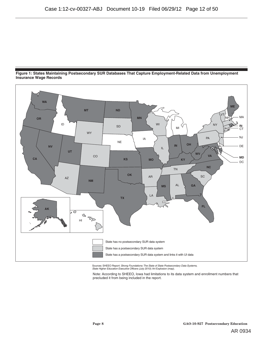



Sources: SHEEO Report: Strong Foundations: The State of State Postsecondary Data Systems, State Higher Education Executive Officers (July 2010); Art Explosion (map).

Note: According to SHEEO, Iowa had limitations to its data system and enrollment numbers that precluded it from being included in the report.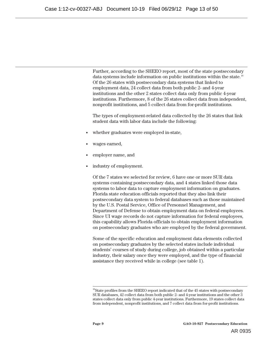Further, according to the SHEEO report, most of the state postsecondary data systems include information on public institutions within the state.<sup>16</sup> Of the 26 states with postsecondary data systems that linked to employment data, 24 collect data from both public 2- and 4-year institutions and the other 2 states collect data only from public 4-year institutions. Furthermore, 8 of the 26 states collect data from independent, nonprofit institutions, and 5 collect data from for-profit institutions.

The types of employment-related data collected by the 26 states that link student data with labor data include the following:

- whether graduates were employed in-state,
- wages earned,
- employer name, and
- industry of employment.

Of the 7 states we selected for review, 6 have one or more SUR data systems containing postsecondary data, and 4 states linked those data systems to labor data to capture employment information on graduates. Florida state education officials reported that they also link their postsecondary data system to federal databases such as those maintained by the U.S. Postal Service, Office of Personnel Management, and Department of Defense to obtain employment data on federal employees. Since UI wage records do not capture information for federal employees, this capability allows Florida officials to obtain employment information on postsecondary graduates who are employed by the federal government.

Some of the specific education and employment data elements collected on postsecondary graduates by the selected states include individual students' courses of study during college, job obtained within a particular industry, their salary once they were employed, and the type of financial assistance they received while in college (see table 1).

 $16$ State profiles from the SHEEO report indicated that of the 45 states with postsecondary SUR databases, 42 collect data from both public 2- and 4-year institutions and the other 3 states collect data only from public 4-year institutions. Furthermore, 19 states collect data from independent, nonprofit institutions, and 7 collect data from for-profit institutions.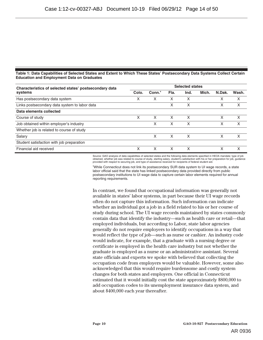#### **Table 1: Data Capabilities of Selected States and Extent to Which These States' Postsecondary Data Systems Collect Certain Education and Employment Data on Graduates**

| Characteristics of selected states' postsecondary data | <b>Selected states</b> |                    |      |      |       |        |       |
|--------------------------------------------------------|------------------------|--------------------|------|------|-------|--------|-------|
| systems                                                | Colo.                  | Conn. <sup>a</sup> | Fla. | Ind. | Mich. | N.Dak. | Wash. |
| Has postsecondary data system                          | X                      | x                  | X    | X    |       | X      | х     |
| Links postsecondary data system to labor data          |                        |                    | X    | x    |       | x      | x     |
| Data elements collected                                |                        |                    |      |      |       |        |       |
| Course of study                                        | X                      | x                  | X    | X    |       | Χ      | х     |
| Job obtained within employer's industry                |                        | x                  | X    | X    |       | х      | X     |
| Whether job is related to course of study              |                        |                    |      |      |       |        |       |
| Salary                                                 |                        | X                  | X    | X    |       | X      | х     |
| Student satisfaction with job preparation              |                        |                    |      |      |       |        |       |
| Financial aid received                                 | X                      |                    | x    | x    |       | Χ      |       |

Source: GAO analysis of data capabilities of selected states and the following data elements specified in HEOA mandate: type of job obtained, whether job was related to course of study, starting salary, student's satisfaction with his or her preparation for job, guidance<br>provided with respect to securing job, and type of assistance received for recipie

a While Connecticut does not link its postsecondary SUR data system to UI wage records, a state labor official said that the state has linked postsecondary data provided directly from public postsecondary institutions to UI wage data to capture certain labor elements required for annual reporting requirements.

In contrast, we found that occupational information was generally not available in states' labor systems, in part because their UI wage records often do not capture this information. Such information can indicate whether an individual got a job in a field related to his or her course of study during school. The UI wage records maintained by states commonly contain data that identify the industry—such as health care or retail—that employed individuals, but according to Labor, state labor agencies generally do not require employers to identify occupations in a way that would reflect the type of job—such as nurse or cashier. An industry code would indicate, for example, that a graduate with a nursing degree or certificate is employed in the health care industry but not whether the graduate is employed as a nurse or an administrative assistant. Several state officials and experts we spoke with believed that collecting the occupation code from employers would be valuable. However, some also acknowledged that this would require burdensome and costly system changes for both states and employers. One official in Connecticut estimated that it would initially cost the state approximately \$800,000 to add occupation codes to its unemployment insurance data system, and about \$400,000 each year thereafter.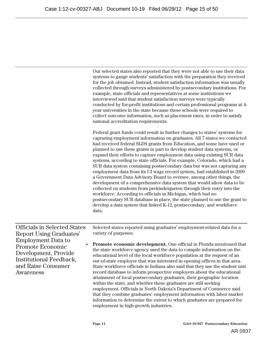Our selected states also reported that they were not able to use their data systems to gauge students' satisfaction with the preparation they received for the job obtained. Instead, student satisfaction information was usually collected through surveys administered by postsecondary institutions. For example, state officials and representatives at some institutions we interviewed said that student satisfaction surveys were typically conducted by for-profit institutions and certain professional programs at 4 year universities in the state because these schools were required to collect outcome information, such as placement rates, in order to satisfy national accreditation requirements.

Federal grant funds could result in further changes to states' systems for capturing employment information on graduates. All 7 states we contacted had received federal SLDS grants from Education, and some have used or planned to use these grants in part to develop student data systems, or expand their efforts to capture employment data using existing SUR data systems, according to state officials. For example, Colorado, which had a SUR data system containing postsecondary data but was not capturing any employment data from its UI wage record system, had established in 2009 a Government Data Advisory Board to oversee, among other things, the development of a comprehensive data system that would allow data to be collected on students from prekindergarten through their entry into the workforce. According to officials in Michigan, which had no postsecondary SUR database in place, the state planned to use the grant to develop a data system that linked K-12, postsecondary, and workforce data.

Officials in Selected States Report Using Graduates' Employment Data to Promote Economic Development, Provide Institutional Feedback, and Raise Consumer Awareness

Selected states reported using graduates' employment-related data for a variety of purposes:

• **Promote economic development.** One official in Florida mentioned that the state workforce agency used the data to compile information on the educational level of the local workforce population at the request of an out-of-state employer that was interested in opening offices in that area. State workforce officials in Indiana also said that they use the student unit record database to inform prospective employers about the educational attainment of local postsecondary graduates, their geographic location within the state, and whether these graduates are still seeking employment. Officials in North Dakota's Department of Commerce said that they combine graduates' employment information with labor market information to determine the extent to which graduates are prepared for employment in high-growth industries.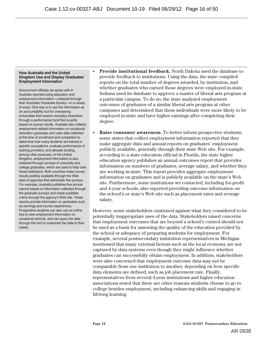#### **How Australia and the United Kingdom Use and Display Graduates' Employment Information**

Government officials we spoke with in Australia reported using education and employment information—collected through their Australian Graduate Survey—in a variety of ways. One way is to use the information as an accountability tool for overseeing universities that receive monetary incentives through a performance fund that is partly based on survey results. Australia also collects employment-related information on vocational education graduates and uses data collected at the time of enrollment and completion to determine how many students are trained in specific occupations, evaluate performance of training providers, and allocate funding, among other purposes. In the United Kingdom, employment information is also obtained through surveys of university and college graduates, which are used to help rank these institutions. Both countries make survey results publicly available through the Web sites of agencies that administer the surveys. For example, Australia publishes five annual reports based on information collected through the graduate surveys and made available online through the agency's Web site. These reports provide information on graduates such as earnings and course experiences. Prospective students can also use an online tool to view employment information on vocational schools, and can query the data through this tool to customize the data to their needs.

- **Provide institutional feedback.** North Dakota used the database to provide feedback to institutions. Using the data, the state compiled reports on the total number of degrees awarded, by institution, and whether graduates who earned those degrees were employed in-state. Indiana used its database to approve a master of liberal arts program at a particular campus. To do so, the state analyzed employment outcomes of graduates of a similar liberal arts program at other campuses and determined that these individuals were more likely to be employed in-state and have higher earnings after completing their degree.
- **Raise consumer awareness.** To better inform prospective students, some states that collect employment information reported that they make aggregate data and annual reports on graduates' employment publicly available, generally through their state Web site. For example, according to a state education official in Florida, the state higher education agency publishes an annual outcomes report that provides information on numbers of graduates, average salary, and whether they are working in-state. This report provides aggregate employment information on graduates and is publicly available on the state's Web site. Furthermore, some institutions we contacted, including for-profit and 4-year schools, also reported providing outcome information on the school's or state's Web site such as placement rates and average salary.

However, some stakeholders cautioned against what they considered to be potentially inappropriate uses of the data. Stakeholders raised concerns that employment outcomes that are beyond a school's control should not be used as a basis for assessing the quality of the education provided by the school or adequacy of preparing students for employment. For example, several postsecondary institution representatives in Michigan mentioned that many external factors such as the local economy are not captured by data systems even though they might influence whether graduates can successfully obtain employment. In addition, stakeholders were also concerned that employment outcome data may not be comparable from one institution to another, depending on how specific data elements are defined, such as job placement rate. Finally, representatives from several 4-year institutions and higher education associations noted that there are other reasons students choose to go to college besides employment, including enhancing skills and engaging in lifelong learning.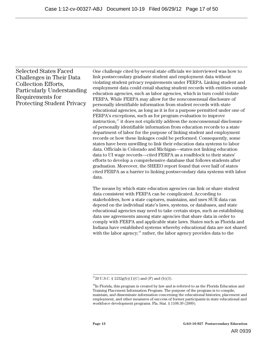Selected States Faced Challenges in Their Data Collection Efforts, Particularly Understanding Requirements for Protecting Student Privacy

One challenge cited by several state officials we interviewed was how to link postsecondary graduate student and employment data without violating student privacy requirements under FERPA. Linking student and employment data could entail sharing student records with entities outside education agencies, such as labor agencies, which in turn could violate FERPA. While FERPA may allow for the nonconsensual disclosure of personally identifiable information from student records with state educational agencies, as long as it is for a purpose permitted under one of FERPA's exceptions, such as for program evaluation to improve instruction, $i^{\prime\prime}$  it does not explicitly address the nonconsensual disclosure of personally identifiable information from education records to a stat e department of labor for the purpose of linking student and employment records or how these linkages could be performed. Consequently, some states have been unwilling to link their education data systems to labor data. Officials in Colorado and Michigan—states not linking education data to UI wage records—cited FERPA as a roadblock to their states' efforts to develop a comprehensive database that follows students after graduation. Moreover, the SHEEO report found that over half of states cited FERPA as a barrier to linking postsecondary data systems with labor data.

The means by which state education agencies can link or share student data consistent with FERPA can be complicated. According to stakeholders, how a state captures, maintains, and uses SUR data can depend on the individual state's laws, systems, or databases, and state educational agencies may need to take certain steps, such as establishing data use agreements among state agencies that share data in order to comply with FERPA and applicable state laws. States such as Florida and Indiana have established systems whereby educational data are not shared with the labor agency;<sup>18</sup> rather, the labor agency provides data to the

 $\frac{1}{2}$  $1720$  U.S.C. § 1232g(b)(1)(C) and (F) and (b)(3).

 $^{18}$ In Florida, this program is created by law and is referred to as the Florida Education and Training Placement Information Program. The purpose of the program is to compile, maintain, and disseminate information concerning the educational histories, placement and employment, and other measures of success of former participants in state educational and workforce development programs. Fla. Stat. § 1108.39 (2009).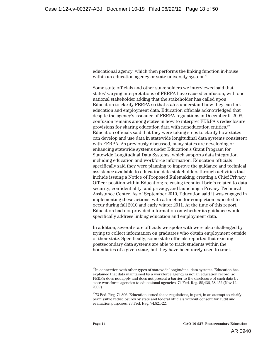educational agency, which then performs the linking function in-house within an education agency or state university system.<sup>19</sup>

Some state officials and other stakeholders we interviewed said that states' varying interpretations of FERPA have caused confusion, with one national stakeholder adding that the stakeholder has called upon Education to clarify FERPA so that states understand how they can link education and employment data. Education officials acknowledged that despite the agency's issuance of FERPA regulations in December 9, 2008, confusion remains among states in how to interpret FERPA's redisclosure provisions for sharing education data with noneducation entities.<sup>20</sup> Education officials said that they were taking steps to clarify how states can develop and use data in statewide longitudinal data systems consistent with FERPA. As previously discussed, many states are developing or enhancing statewide systems under Education's Grant Program for Statewide Longitudinal Data Systems, which supports data integration including education and workforce information. Education officials specifically said they were planning to improve the guidance and technical assistance available to education data stakeholders through activities that include issuing a Notice of Proposed Rulemaking; creating a Chief Privacy Officer position within Education; releasing technical briefs related to data security, confidentiality, and privacy; and launching a Privacy Technical Assistance Center. As of September 2010, Education said it was engaged in implementing these actions, with a timeline for completion expected to occur during fall 2010 and early winter 2011. At the time of this report, Education had not provided information on whether its guidance would specifically address linking education and employment data.

In addition, several state officials we spoke with were also challenged by trying to collect information on graduates who obtain employment outside of their state. Specifically, some state officials reported that existing postsecondary data systems are able to track students within the boundaries of a given state, but they have been rarely used to track

 $19$ In connection with other types of statewide longitudinal data systems, Education has explained that data maintained by a workforce agency is not an education record, so FERPA does not apply and does not present a barrier to the disclosure of such data by state workforce agencies to educational agencies. 74 Fed. Reg. 58,436, 58,452 (Nov 12, 2009).

 $2073$  Fed. Reg. 74,806. Education issued these regulations, in part, in an attempt to clarify permissible redisclosures by state and federal officials without consent for audit and evaluation purposes. 73 Fed. Reg. 74,821-22.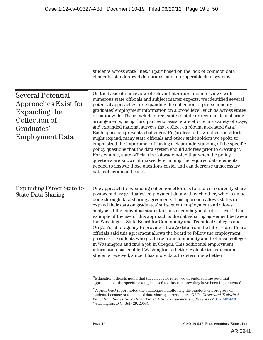|                                                                                                                            | students across state lines, in part based on the lack of common data<br>elements, standardized definitions, and interoperable data systems.                                                                                                                                                                                                                                                                                                                                                                                                                                                                                                                                                                                                                                                                                                                                                                                                                                                                                                                                                                                      |  |  |  |  |
|----------------------------------------------------------------------------------------------------------------------------|-----------------------------------------------------------------------------------------------------------------------------------------------------------------------------------------------------------------------------------------------------------------------------------------------------------------------------------------------------------------------------------------------------------------------------------------------------------------------------------------------------------------------------------------------------------------------------------------------------------------------------------------------------------------------------------------------------------------------------------------------------------------------------------------------------------------------------------------------------------------------------------------------------------------------------------------------------------------------------------------------------------------------------------------------------------------------------------------------------------------------------------|--|--|--|--|
| <b>Several Potential</b><br>Approaches Exist for<br>Expanding the<br>Collection of<br>Graduates'<br><b>Employment Data</b> | On the basis of our review of relevant literature and interviews with<br>numerous state officials and subject matter experts, we identified several<br>potential approaches for expanding the collection of postsecondary<br>graduates' employment information on a broad level, such as across states<br>or nationwide. These include direct state-to-state or regional data-sharing<br>arrangements, using third parties to assist state efforts in a variety of ways,<br>and expanded national surveys that collect employment-related data. <sup>21</sup><br>Each approach presents challenges. Regardless of how collection efforts<br>might expand, many state officials and other stakeholders we spoke to<br>emphasized the importance of having a clear understanding of the specific<br>policy questions that the data system should address prior to creating it.<br>For example, state officials in Colorado noted that when the policy<br>questions are known, it makes determining the required data elements<br>needed to answer those questions easier and can decrease unnecessary<br>data collection and costs. |  |  |  |  |
| <b>Expanding Direct State-to-</b><br><b>State Data Sharing</b>                                                             | One approach to expanding collection efforts is for states to directly share<br>postsecondary graduates' employment data with each other, which can be<br>done through data-sharing agreements. This approach allows states to<br>expand their data on graduates' subsequent employment and allows<br>analysis at the individual student or postsecondary institution level. <sup>22</sup> One<br>example of the use of this approach is the data-sharing agreement between<br>the Washington State Board for Community and Technical Colleges and<br>Oregon's labor agency to provide UI wage data from the latter state. Board<br>officials said this agreement allows the board to follow the employment<br>progress of students who graduate from community and technical colleges<br>in Washington and find a job in Oregon. This additional employment<br>information has enabled Washington to better evaluate the education<br>students received, since it has more data to determine whether                                                                                                                             |  |  |  |  |
|                                                                                                                            | <sup>21</sup> Education officials noted that they have not reviewed or endorsed the potential                                                                                                                                                                                                                                                                                                                                                                                                                                                                                                                                                                                                                                                                                                                                                                                                                                                                                                                                                                                                                                     |  |  |  |  |

approaches or the specific examples used to illustrate how they have been implemented.

 $\rm ^{22}A$  prior GAO report noted the challenges in following the employment progress of students because of the lack of data sharing across states. GAO*, Career and Technical Education: States Have Broad Flexibility in Implementing Perkins IV, GAO-09-683* (Washington, D.C.: July 29, 2009).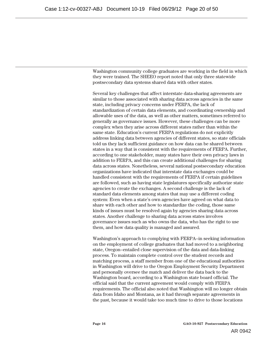Washington community college graduates are working in the field in which they were trained. The SHEEO report noted that only three statewide postsecondary data systems shared data with other states.

Several key challenges that affect interstate data-sharing agreements are similar to those associated with sharing data across agencies in the same state, including privacy concerns under FERPA, the lack of standardization of certain data elements, and coordinating ownership and allowable uses of the data, as well as other matters, sometimes referred to generally as governance issues. However, these challenges can be more complex when they arise across different states rather than within the same state. Education's current FERPA regulations do not explicitly address linking data between agencies of different states, so state officials told us they lack sufficient guidance on how data can be shared between states in a way that is consistent with the requirements of FERPA. Further, according to one stakeholder, many states have their own privacy laws in addition to FERPA, and this can create additional challenges for sharing data across states. Nonetheless, several national postsecondary education organizations have indicated that interstate data exchanges could be handled consistent with the requirements of FERPA if certain guidelines are followed, such as having state legislatures specifically authorize state agencies to create the exchanges. A second challenge is the lack of standard data elements among states that may use a different coding system: Even when a state's own agencies have agreed on what data to share with each other and how to standardize the coding, those same kinds of issues must be resolved again by agencies sharing data across states. Another challenge to sharing data across states involves governance issues such as who owns the data, who has the right to use them, and how data quality is managed and assured.

Washington's approach to complying with FERPA--in seeking information on the employment of college graduates that had moved to a neighboring state, Oregon--entailed close supervision of the data and data-linking process. To maintain complete control over the student records and matching process, a staff member from one of the educational authorities in Washington will drive to the Oregon Employment Security Department and personally oversee the match and deliver the data back to the Washington board, according to a Washington state board official. The official said that the current agreement would comply with FERPA requirements. The official also noted that Washington will no longer obtain data from Idaho and Montana, as it had through separate agreements in the past, because it would take too much time to drive to those locations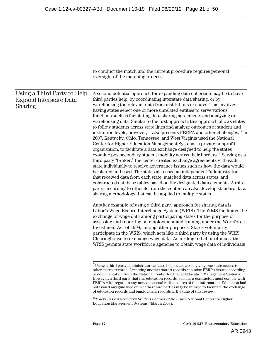|                                                                                | to conduct the match and the current procedure requires personal<br>oversight of the matching process.                                                                                                                                                                                                                                                                                                                                                                                                                                                                                                                                                                                                                                                                                                                                                                                                                                                                                                                                                                                                                                                                                                                                                                                                                                                                                                                                                                                                 |
|--------------------------------------------------------------------------------|--------------------------------------------------------------------------------------------------------------------------------------------------------------------------------------------------------------------------------------------------------------------------------------------------------------------------------------------------------------------------------------------------------------------------------------------------------------------------------------------------------------------------------------------------------------------------------------------------------------------------------------------------------------------------------------------------------------------------------------------------------------------------------------------------------------------------------------------------------------------------------------------------------------------------------------------------------------------------------------------------------------------------------------------------------------------------------------------------------------------------------------------------------------------------------------------------------------------------------------------------------------------------------------------------------------------------------------------------------------------------------------------------------------------------------------------------------------------------------------------------------|
| Using a Third Party to Help<br><b>Expand Interstate Data</b><br><b>Sharing</b> | A second potential approach for expanding data collection may be to have<br>third parties help, by coordinating interstate data sharing, or by<br>warehousing the relevant data from institutions or states. This involves<br>having states select one or more unrelated entities to serve various<br>functions such as facilitating data-sharing agreements and analyzing or<br>warehousing data. Similar to the first approach, this approach allows states<br>to follow students across state lines and analyze outcomes at student and<br>institution levels; however, it also presents FERPA and other challenges. <sup>23</sup> In<br>2007, Kentucky, Ohio, Tennessee, and West Virginia used the National<br>Center for Higher Education Management Systems, a private nonprofit<br>organization, to facilitate a data exchange designed to help the states<br>examine postsecondary student mobility across their borders. <sup>24</sup> Serving as a<br>third party "broker," the center created exchange agreements with each<br>state individually to resolve governance issues such as how the data would<br>be shared and used. The states also used an independent "administrator"<br>that received data from each state, matched data across states, and<br>constructed database tables based on the designated data elements. A third<br>party, according to officials from the center, can also develop standard data-<br>sharing methodology that can be applied to multiple states. |
|                                                                                | Another example of using a third party approach for sharing data is<br>Labor's Wage Record Interchange System (WRIS). The WRIS facilitates the<br>exchange of wage data among participating states for the purpose of<br>assessing and reporting on employment and training under the Workforce<br>Investment Act of 1998, among other purposes. States voluntarily<br>participate in the WRIS, which acts like a third party by using the WRIS<br>Clearinghouse to exchange wage data. According to Labor officials, the<br>WRIS permits state workforce agencies to obtain wage data of individuals<br><sup>23</sup> Using a third party administrator can also help states avoid giving one state access to                                                                                                                                                                                                                                                                                                                                                                                                                                                                                                                                                                                                                                                                                                                                                                                         |
|                                                                                | other states' records. Accessing another state's records can raise FERPA issues, according<br>to documentation from the National Center for Higher Education Management Systems.                                                                                                                                                                                                                                                                                                                                                                                                                                                                                                                                                                                                                                                                                                                                                                                                                                                                                                                                                                                                                                                                                                                                                                                                                                                                                                                       |

However, a third party that has education records, such as a contractor, must comply with FERPA with regard to any nonconsensual redisclosures of that information. Education had not issued any guidance on whether third parties may be utilized to facilitate the exchange of education records and employment records at the time of this review.

<sup>24</sup>*Tracking Postsecondary Students Across State Lines*, National Center for Higher Education Management Systems, (March 2008).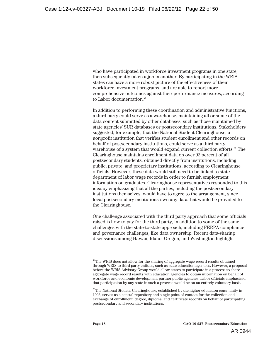who have participated in workforce investment programs in one state, then subsequently taken a job in another. By participating in the WRIS, states can have a more robust picture of the effectiveness of their workforce investment programs, and are able to report more comprehensive outcomes against their performance measures, according to Labor documentation.<sup>25</sup>

In addition to performing these coordination and administrative functions, a third party could serve as a warehouse, maintaining all or some of the data content submitted by other databases, such as those maintained by state agencies' SUR databases or postsecondary institutions. Stakeholders suggested, for example, that the National Student Clearinghouse, a nonprofit institution that verifies student enrollment and other records on behalf of postsecondary institutions, could serve as a third party warehouse of a system that would expand current collection efforts.<sup>26</sup> The Clearinghouse maintains enrollment data on over 92 percent of all postsecondary students, obtained directly from institutions, including public, private, and proprietary institutions, according to Clearinghouse officials. However, these data would still need to be linked to state department of labor wage records in order to furnish employment information on graduates. Clearinghouse representatives responded to this idea by emphasizing that all the parties, including the postsecondary institutions themselves, would have to agree to the arrangement, since local postsecondary institutions own any data that would be provided to the Clearinghouse.

One challenge associated with the third party approach that some officials raised is how to pay for the third party, in addition to some of the same challenges with the state-to-state approach, including FERPA compliance and governance challenges, like data ownership. Recent data-sharing discussions among Hawaii, Idaho, Oregon, and Washington highlight

<sup>&</sup>lt;sup>25</sup>The WRIS does not allow for the sharing of aggregate wage record results obtained through WRIS to third party entities, such as state education agencies. However, a proposal before the WRIS Advisory Group would allow states to participate in a process to share aggregate wage record results with education agencies to obtain information on behalf of workforce and economic development partner public agencies. Labor officials emphasized that participation by any state in such a process would be on an entirely voluntary basis.

<sup>&</sup>lt;sup>26</sup>The National Student Clearinghouse, established by the higher education community in 1993, serves as a central repository and single point of contact for the collection and exchange of enrollment, degree, diploma, and certificate records on behalf of participating postsecondary and secondary institutions.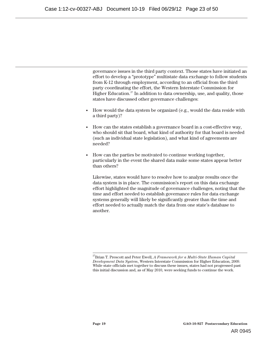governance issues in the third party context. Those states have initiated an effort to develop a "prototype" multistate data exchange to follow students from K-12 through employment, according to an official from the third party coordinating the effort, the Western Interstate Commission for Higher Education. $27$  In addition to data ownership, use, and quality, those states have discussed other governance challenges:

- How would the data system be organized (e.g., would the data reside with a third party)?
- How can the states establish a governance board in a cost-effective way, who should sit that board, what kind of authority for that board is needed (such as individual state legislation), and what kind of agreements are needed?
- How can the parties be motivated to continue working together, particularly in the event the shared data make some states appear better than others?

Likewise, states would have to resolve how to analyze results once the data system is in place. The commission's report on this data exchange effort highlighted the magnitude of governance challenges, noting that the time and effort needed to establish governance rules for data exchange systems generally will likely be significantly greater than the time and effort needed to actually match the data from one state's database to another.

 27Brian T. Prescott and Peter Ewell, *A Framework for a Multi-State Human Capital Development Data System*, Western Interstate Commission for Higher Education, 2009. While state officials met together to discuss these issues, states had not progressed past this initial discussion and, as of May 2010, were seeking funds to continue the work.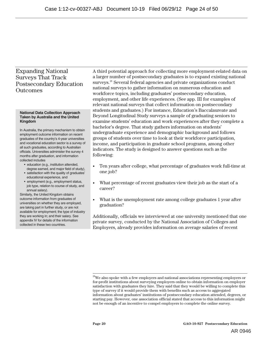### Expanding National Surveys That Track Postsecondary Education **Outcomes**

#### **National Data Collection Approach Taken by Australia and the United Kingdom**

In Australia, the primary mechanism to obtain employment outcome information on recent graduates of the country's 4-year universities and vocational education sector is a survey of all such graduates, according to Australian officials. Universities administer the survey 4 months after graduation, and information collected includes

- education (e.g., institution attended, degree earned, and major field of study),
- satisfaction with the quality of graduates' educational experience, and
- employment (e.g., employment status, job type, relation to course of study, and annual salary).

Similarly, the United Kingdom obtains outcome information from graduates of universities on whether they are employed, are taking part in further study, or are not available for employment; the type of industry they are working in; and their salary. See appendix IV for details of the information collected in these two countries.

A third potential approach for collecting more employment-related data on a larger number of postsecondary graduates is to expand existing national surveys.<sup>28</sup> Several federal agencies and private organizations conduct national surveys to gather information on numerous education and workforce topics, including graduates' postsecondary education, employment, and other life experiences. (See app. III for examples of relevant national surveys that collect information on postsecondary students and graduates.) For instance, Education's Baccalaureate and Beyond Longitudinal Study surveys a sample of graduating seniors to examine students' education and work experiences after they complete a bachelor's degree. That study gathers information on students' undergraduate experience and demographic background and follows groups of students over time to look at their workforce participation, income, and participation in graduate school programs, among other indicators. The study is designed to answer questions such as the following:

- Ten years after college, what percentage of graduates work full-time at one job?
- What percentage of recent graduates view their job as the start of a career?
- What is the unemployment rate among college graduates 1 year after graduation?

Additionally, officials we interviewed at one university mentioned that one private survey, conducted by the National Association of Colleges and Employers, already provides information on average salaries of recent

<sup>&</sup>lt;sup>28</sup>We also spoke with a few employers and national associations representing employers or for-profit institutions about surveying employers online to obtain information on employer satisfaction with graduates they hire. They said that they would be willing to complete this type of survey if it would provide them with benefits such as access to aggregated information about graduates' institutions of postsecondary education attended, degrees, or starting pay. However, one association official stated that access to this information might not be enough of an incentive to compel employers to complete the online survey.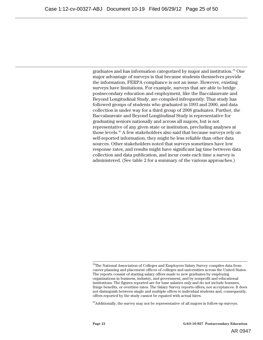graduates and has information categorized by major and institution.29 One major advantage of surveys is that because students themselves provide the information, FERPA compliance is not an issue. However, existing surveys have limitations. For example, surveys that are able to bridge postsecondary education and employment, like the Baccalaureate and Beyond Longitudinal Study, are compiled infrequently: That study has followed groups of students who graduated in 1993 and 2000, and data collection is under way for a third group of 2008 graduates. Further, the Baccalaureate and Beyond Longitudinal Study is representative for graduating seniors nationally and across all majors, but is not representative of any given state or institution, precluding analyses at those levels.<sup>30</sup> A few stakeholders also said that because surveys rely on self-reported information, they might be less reliable than other data sources. Other stakeholders noted that surveys sometimes have low response rates, and results might have significant lag time between data collection and data publication, and incur costs each time a survey is administered. (See table 2 for a summary of the various approaches.)

 $29$ The National Association of Colleges and Employers Salary Survey compiles data from career planning and placement offices of colleges and universities across the United States. The reports consist of starting salary offers made to new graduates by employing organizations in business, industry, and government, and by nonprofit and educational institutions. The figures reported are for base salaries only and do not include bonuses, fringe benefits, or overtime rates. The Salary Survey reports offers, not acceptances. It does not distinguish between single and multiple offers to individual students and, consequently, offers reported by the study cannot be equated with actual hires.

<sup>&</sup>lt;sup>30</sup>Additionally, the survey may not be representative of all majors in follow-up surveys.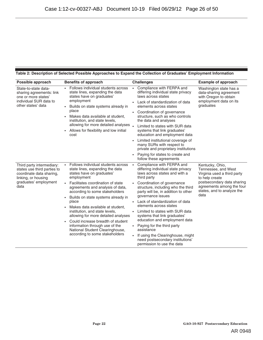#### **Table 2: Description of Selected Possible Approaches to Expand the Collection of Graduates' Employment Information**

| Possible approach                                                                                                                            | <b>Benefits of approach</b>                                                                                                                                                                                                                                                                                                                                                                                                                                                                                                         | <b>Challenges</b>                                                                                                                                                                                                                                                                                                                                                                                                                                                                                                                                                   | <b>Example of approach</b>                                                                                                                                                               |
|----------------------------------------------------------------------------------------------------------------------------------------------|-------------------------------------------------------------------------------------------------------------------------------------------------------------------------------------------------------------------------------------------------------------------------------------------------------------------------------------------------------------------------------------------------------------------------------------------------------------------------------------------------------------------------------------|---------------------------------------------------------------------------------------------------------------------------------------------------------------------------------------------------------------------------------------------------------------------------------------------------------------------------------------------------------------------------------------------------------------------------------------------------------------------------------------------------------------------------------------------------------------------|------------------------------------------------------------------------------------------------------------------------------------------------------------------------------------------|
| State-to-state data-<br>sharing agreements: link<br>one or more states'<br>individual SUR data to<br>other states' data                      | Follows individual students across<br>state lines, expanding the data<br>states have on graduates'<br>employment<br>• Builds on state systems already in<br>place<br>Makes data available at student,<br>institution, and state levels,<br>allowing for more detailed analyses.<br>Allows for flexibility and low initial<br>cost                                                                                                                                                                                                   | Compliance with FERPA and<br>differing individual state privacy<br>laws across states<br>Lack of standardization of data<br>elements across states<br>Coordination of governance<br>structure, such as who controls<br>the data and analyses<br>Limited to states with SUR data<br>systems that link graduates'<br>education and employment data<br>Limited institutional coverage of<br>many SURs with respect to<br>private and proprietary institutions<br>Paying for states to create and<br>follow these agreements                                            | Washington state has a<br>data-sharing agreement<br>with Oregon to obtain<br>employment data on its<br>graduates                                                                         |
| Third party intermediary:<br>states use third parties to<br>coordinate data sharing,<br>linking, or housing<br>graduates' employment<br>data | Follows individual students across<br>state lines, expanding the data<br>states have on graduates'<br>employment<br>Facilitates coordination of state<br>agreements and analysis of data,<br>according to some stakeholders<br>Builds on state systems already in<br>place<br>Makes data available at student,<br>institution, and state levels,<br>allowing for more detailed analyses<br>Could increase breadth of student<br>information through use of the<br>National Student Clearinghouse,<br>according to some stakeholders | Compliance with FERPA and<br>differing individual state privacy<br>laws across states and with a<br>third party<br>Coordination of governance<br>structure, including who the third<br>party will be, in addition to other<br>governance issues<br>Lack of standardization of data<br>elements across states<br>Limited to states with SUR data<br>systems that link graduates'<br>education and employment data<br>Paying for the third party<br>assistance<br>If using the Clearinghouse, might<br>need postsecondary institutions'<br>permission to use the data | Kentucky, Ohio,<br>Tennessee, and West<br>Virginia used a third party<br>to help create<br>postsecondary data sharing<br>agreements among the four<br>states, and to analyze the<br>data |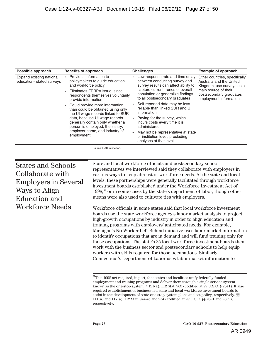| Possible approach                                     | <b>Benefits of approach</b>                                                                                                                                                                                                                                                                                                                                                                                                                          | <b>Challenges</b>                                                                                                                                                                                                                                                                                                                                                                                                                                                                              | <b>Example of approach</b>                                                                                                                                           |
|-------------------------------------------------------|------------------------------------------------------------------------------------------------------------------------------------------------------------------------------------------------------------------------------------------------------------------------------------------------------------------------------------------------------------------------------------------------------------------------------------------------------|------------------------------------------------------------------------------------------------------------------------------------------------------------------------------------------------------------------------------------------------------------------------------------------------------------------------------------------------------------------------------------------------------------------------------------------------------------------------------------------------|----------------------------------------------------------------------------------------------------------------------------------------------------------------------|
| Expand existing national<br>education-related surveys | Provides information to<br>policymakers to guide education<br>and workforce policy<br>Eliminates FERPA issue, since<br>respondents themselves voluntarily<br>provide information<br>Could provide more information<br>than could be obtained using only<br>the UI wage records linked to SUR<br>data, because UI wage records<br>generally contain only whether a<br>person is employed, the salary,<br>employer name, and industry of<br>employment | Low response rate and time delay<br>between conducting survey and<br>survey results can affect ability to<br>capture current trends of overall<br>population or generalize findings<br>to all postsecondary graduates<br>Self-reported data may be less<br>reliable than linked SUR and UI<br>information<br>Paying for the survey, which<br>incurs costs every time it is<br>administered<br>May not be representative at state<br>or institution level, precluding<br>analyses at that level | Other countries, specifically<br>Australia and the United<br>Kingdom, use surveys as a<br>main source of their<br>postsecondary graduates'<br>employment information |

Source: GAO interviews.

States and Schools Collaborate with Employers in Several Ways to Align Education and Workforce Needs

State and local workforce officials and postsecondary school representatives we interviewed said they collaborate with employers in various ways to keep abreast of workforce needs. At the state and local levels, these partnerships were generally facilitated through workforce investment boards established under the Workforce Investment Act of 1998,31 or in some cases by the state's department of labor, though other means were also used to cultivate ties with employers.

Workforce officials in some states said that local workforce investment boards use the state workforce agency's labor market analysis to project high-growth occupations by industry in order to align education and training programs with employers' anticipated needs. For example, Michigan's No Worker Left Behind initiative uses labor market information to identify occupations that are in demand and will fund training only for those occupations. The state's 25 local workforce investment boards then work with the business sector and postsecondary schools to help equip workers with skills required for those occupations. Similarly, Connecticut's Department of Labor uses labor market information to

<sup>&</sup>lt;sup>31</sup>This 1998 act required, in part, that states and localities unify federally funded employment and training programs and deliver them through a single service system known as the one-stop system.  $\S 121(a)$ , 112 Stat. 963 (codified at 29 U.S.C.  $\S 2841$ ). It also required establishment of business-led state and local workforce investment boards to assist in the development of state one-stop system plans and set policy, respectively. §§ 111(a) and 117(a), 112 Stat. 944-46 and 954 (codified at 29 U.S.C. §§ 2821 and 2832), respectively.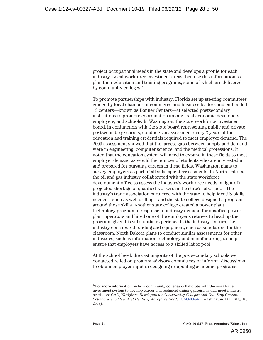project occupational needs in the state and develops a profile for each industry. Local workforce investment areas then use this information to plan their education and training programs, some of which are delivered by community colleges.<sup>32</sup>

To promote partnerships with industry, Florida set up steering committees guided by local chamber of commerce and business leaders and embedded 13 centers—known as Banner Centers—at selected postsecondary institutions to promote coordination among local economic developers, employers, and schools. In Washington, the state workforce investment board, in conjunction with the state board representing public and private postsecondary schools, conducts an assessment every 2 years of the education and training credentials required to meet employer demand. The 2009 assessment showed that the largest gaps between supply and demand were in engineering, computer science, and the medical professions. It noted that the education system will need to expand in these fields to meet employer demand as would the number of students who are interested in and prepared for pursuing careers in these fields. Washington plans to survey employers as part of all subsequent assessments. In North Dakota, the oil and gas industry collaborated with the state workforce development office to assess the industry's workforce needs in light of a projected shortage of qualified workers in the state's labor pool. The industry's trade association partnered with the state to help identify skills needed—such as well drilling—and the state college designed a program around those skills. Another state college created a power plant technology program in response to industry demand for qualified power plant operators and hired one of the employer's retirees to head up the program, given his substantial experience in the industry. In turn, the industry contributed funding and equipment, such as simulators, for the classroom. North Dakota plans to conduct similar assessments for other industries, such as information technology and manufacturing, to help ensure that employers have access to a skilled labor pool.

At the school level, the vast majority of the postsecondary schools we contacted relied on program advisory committees or informal discussions to obtain employer input in designing or updating academic programs.

 $32$ For more information on how community colleges collaborate with the workforce investment system to develop career and technical training programs that meet industry needs, see GAO, *Workforce Development: Community Colleges and One-Stop Centers Collaborate to Meet 21st Century Workforce Needs,* GAO-08-547 (Washington, D.C.: May 15, 2008).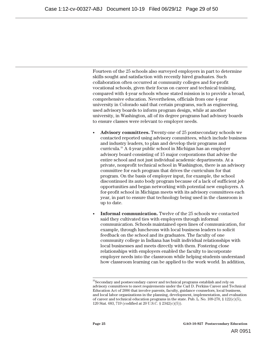Fourteen of the 25 schools also surveyed employers in part to determine skills sought and satisfaction with recently hired graduates. Such collaboration often occurred at community colleges and for-profit vocational schools, given their focus on career and technical training, compared with 4-year schools whose stated mission is to provide a broad, comprehensive education. Nevertheless, officials from one 4-year university in Colorado said that certain programs, such as engineering, used advisory boards to inform program design, while at another university, in Washington, all of its degree programs had advisory boards to ensure classes were relevant to employer needs.

- **Advisory committees.** Twenty-one of 25 postsecondary schools we contacted reported using advisory committees, which include business and industry leaders, to plan and develop their programs and curricula.33 A 4-year public school in Michigan has an employer advisory board consisting of 15 major corporations that advise the entire school and not just individual academic departments. At a private, nonprofit technical school in Washington, there is an advisory committee for each program that drives the curriculum for that program. On the basis of employer input, for example, the school discontinued its auto body program because of a lack of sufficient job opportunities and began networking with potential new employers. A for-profit school in Michigan meets with its advisory committees each year, in part to ensure that technology being used in the classroom is up to date.
- **Informal communication.** Twelve of the 25 schools we contacted said they cultivated ties with employers through informal communication. Schools maintained open lines of communication, for example, through luncheons with local business leaders to solicit feedback on the school and its graduates. The faculty of one community college in Indiana has built individual relationships with local businesses and meets directly with them. Fostering close relationships with employers enabled the faculty to incorporate employer needs into the classroom while helping students understand how classroom learning can be applied to the work world. In addition,

<sup>&</sup>lt;sup>33</sup>Secondary and postsecondary career and technical programs establish and rely on advisory committees to meet requirements under the Carl D. Perkins Career and Technical Education Act of 2006 that involve parents, faculty, guidance counselors, local business, and local labor organizations in the planning, development, implementation, and evaluation of career and technical education programs in the state. Pub. L. No.  $109-270$ ,  $\S$   $122(c)(5)$ , 120 Stat. 683, 719 (codified at 20 U.S.C. § 2342(c)(5)).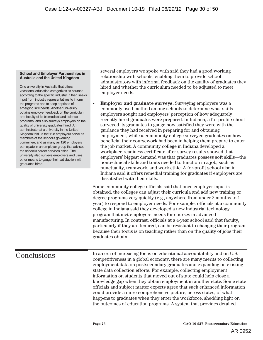#### **School and Employer Partnerships in Australia and the United Kingdom**

One university in Australia that offers vocational education categorizes its courses according to the specific industry. It then seeks input from industry representatives to inform the programs and to keep apprised of emerging skill needs. Another university obtains employer feedback on the curriculum and faculty of its biomedical and science programs, and also surveys employers on the quality of university graduates hired. An administrator at a university in the United Kingdom told us that 6-8 employers serve as members of the school's governing committee, and as many as 120 employers participate in an employer group that advises the school's career services office. The university also surveys employers and uses other means to gauge their satisfaction with graduates hired.

several employers we spoke with said they had a good working relationship with schools, enabling them to provide school administrators with informal feedback on the quality of graduates they hired and whether the curriculum needed to be adjusted to meet employer needs.

• **Employer and graduate surveys.** Surveying employers was a commonly used method among schools to determine what skills employers sought and employers' perception of how adequately recently hired graduates were prepared. In Indiana, a for-profit school surveyed its graduates to gauge how satisfied they were with the guidance they had received in preparing for and obtaining employment, while a community college surveyed graduates on how beneficial their coursework had been in helping them prepare to enter the job market. A community college in Indiana developed a workplace readiness certificate after survey results showed that employers' biggest demand was that graduates possess soft skills—the nontechnical skills and traits needed to function in a job, such as punctuality, teamwork, and work ethic. A for-profit school also in Indiana said it offers remedial training for graduates if employers are dissatisfied with their skills.

Some community college officials said that once employer input is obtained, the colleges can adjust their curricula and add new training or degree programs very quickly (e.g., anywhere from under 2 months to 1 year) to respond to employer needs. For example, officials at a community college in Indiana said they developed a new industrial technology program that met employers' needs for courses in advanced manufacturing. In contrast, officials at a 4-year school said that faculty, particularly if they are tenured, can be resistant to changing their program because their focus is on teaching rather than on the quality of jobs their graduates obtain.

## **Conclusions**

In an era of increasing focus on educational accountability and on U.S. competitiveness in a global economy, there are many merits to collecting employment data on postsecondary graduates and expanding on existing state data collection efforts. For example, collecting employment information on students that moved out of state could help close a knowledge gap when they obtain employment in another state. Some state officials and subject matter experts agree that such enhanced information could provide a more comprehensive picture, across states, of what happens to graduates when they enter the workforce, shedding light on the outcomes of education programs. A system that provides detailed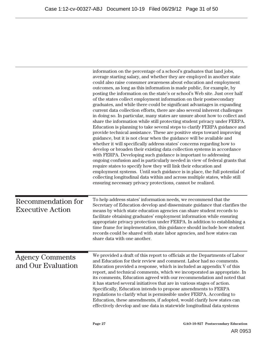|                                               | information on the percentage of a school's graduates that land jobs,<br>average starting salary, and whether they are employed in another state<br>could also raise consumer awareness about education and employment<br>outcomes, as long as this information is made public, for example, by<br>posting the information on the state's or school's Web site. Just over half<br>of the states collect employment information on their postsecondary<br>graduates, and while there could be significant advantages in expanding<br>current data collection efforts, there are also several inherent challenges<br>in doing so. In particular, many states are unsure about how to collect and<br>share the information while still protecting student privacy under FERPA.<br>Education is planning to take several steps to clarify FERPA guidance and<br>provide technical assistance. These are positive steps toward improving<br>guidance, but it is not clear when the guidance will be available and<br>whether it will specifically address states' concerns regarding how to<br>develop or broaden their existing data collection systems in accordance<br>with FERPA. Developing such guidance is important to addressing<br>ongoing confusion and is particularly needed in view of federal grants that<br>require states to specify how they will link their education and |
|-----------------------------------------------|-----------------------------------------------------------------------------------------------------------------------------------------------------------------------------------------------------------------------------------------------------------------------------------------------------------------------------------------------------------------------------------------------------------------------------------------------------------------------------------------------------------------------------------------------------------------------------------------------------------------------------------------------------------------------------------------------------------------------------------------------------------------------------------------------------------------------------------------------------------------------------------------------------------------------------------------------------------------------------------------------------------------------------------------------------------------------------------------------------------------------------------------------------------------------------------------------------------------------------------------------------------------------------------------------------------------------------------------------------------------------------------------|
|                                               | employment systems. Until such guidance is in place, the full potential of<br>collecting longitudinal data within and across multiple states, while still<br>ensuring necessary privacy protections, cannot be realized.                                                                                                                                                                                                                                                                                                                                                                                                                                                                                                                                                                                                                                                                                                                                                                                                                                                                                                                                                                                                                                                                                                                                                                |
| Recommendation for<br><b>Executive Action</b> | To help address states' information needs, we recommend that the<br>Secretary of Education develop and disseminate guidance that clarifies the<br>means by which state education agencies can share student records to<br>facilitate obtaining graduates' employment information while ensuring<br>appropriate privacy protection under FERPA. In addition to establishing a<br>time frame for implementation, this guidance should include how student<br>records could be shared with state labor agencies, and how states can<br>share data with one another.                                                                                                                                                                                                                                                                                                                                                                                                                                                                                                                                                                                                                                                                                                                                                                                                                        |
| <b>Agency Comments</b><br>and Our Evaluation  | We provided a draft of this report to officials at the Departments of Labor<br>and Education for their review and comment. Labor had no comments.<br>Education provided a response, which is included as appendix V of this<br>report, and technical comments, which we incorporated as appropriate. In<br>its comments, Education agreed with our recommendation and noted that<br>it has started several initiatives that are in various stages of action.<br>Specifically, Education intends to propose amendments to FERPA<br>regulations to clarify what is permissible under FERPA. According to<br>Education, these amendments, if adopted, would clarify how states can<br>effectively develop and use data in statewide longitudinal data systems                                                                                                                                                                                                                                                                                                                                                                                                                                                                                                                                                                                                                              |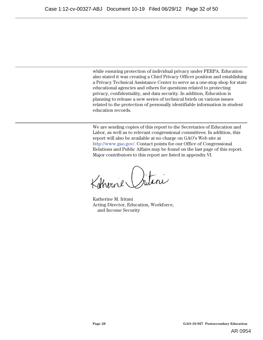while ensuring protection of individual privacy under FERPA. Education also stated it was creating a Chief Privacy Officer position and establishing a Privacy Technical Assistance Center to serve as a one-stop shop for state educational agencies and others for questions related to protecting privacy, confidentiality, and data security. In addition, Education is planning to release a new series of technical briefs on various issues related to the protection of personally identifiable information in student education records.

We are sending copies of this report to the Secretaries of Education and Labor, as well as to relevant congressional committees. In addition, this report will also be available at no charge on GAO's Web site at http://www.gao.gov/. Contact points for our Office of Congressional Relations and Public Affairs may be found on the last page of this report. Major contributors to this report are listed in appendix VI.

Katherine Oritini

Katherine M. Iritani Acting Director, Education, Workforce, and Income Security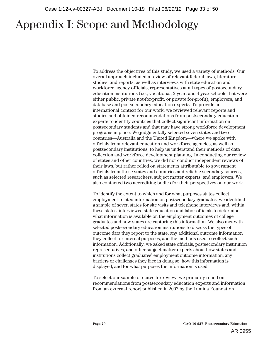To address the objectives of this study, we used a variety of methods. Our overall approach included a review of relevant federal laws, literature, studies, and reports, as well as interviews with state education and workforce agency officials, representatives at all types of postsecondary education institutions (i.e., vocational, 2-year, and 4-year schools that were either public, private not-for-profit, or private for-profit), employers, and database and postsecondary education experts. To provide an international context for our work, we reviewed relevant reports and studies and obtained recommendations from postsecondary education experts to identify countries that collect significant information on postsecondary students and that may have strong workforce development programs in place. We judgmentally selected seven states and two countries—Australia and the United Kingdom—where we spoke with officials from relevant education and workforce agencies, as well as postsecondary institutions, to help us understand their methods of data collection and workforce development planning. In conducting our review of states and other countries, we did not conduct independent reviews of their laws, but rather relied on statements attributable to government officials from those states and countries and reliable secondary sources, such as selected researchers, subject matter experts, and employers. We also contacted two accrediting bodies for their perspectives on our work.

To identify the extent to which and for what purposes states collect employment-related information on postsecondary graduates, we identified a sample of seven states for site visits and telephone interviews and, within these states, interviewed state education and labor officials to determine what information is available on the employment outcomes of college graduates and how states are capturing this information. We also met with selected postsecondary education institutions to discuss the types of outcome data they report to the state, any additional outcome information they collect for internal purposes, and the methods used to collect such information. Additionally, we asked state officials, postsecondary institution representatives, and other subject matter experts about how states and institutions collect graduates' employment outcome information, any barriers or challenges they face in doing so, how this information is displayed, and for what purposes the information is used.

To select our sample of states for review, we primarily relied on recommendations from postsecondary education experts and information from an external report published in 2007 by the Lumina Foundation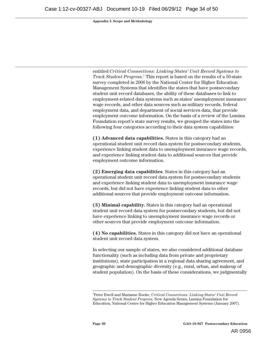entitled *Critical Connections: Linking States' Unit Record Systems to Track Student Progress*. 1 This report is based on the results of a 50-state survey completed in 2006 by the National Center for Higher Education Management Systems that identifies the states that have postsecondary student unit record databases, the ability of these databases to link to employment-related data systems such as states' unemployment insurance wage records, and other data sources such as military records, federal employment data, and department of social services data, that provide employment outcome information. On the basis of a review of the Lumina Foundation report's state survey results, we grouped the states into the following four categories according to their data system capabilities:

**(1) Advanced data capabilities.** States in this category had an operational student unit record data system for postsecondary students, experience linking student data to unemployment insurance wage records, and experience linking student data to additional sources that provide employment outcome information.

**(2) Emerging data capabilities**. States in this category had an operational student unit record data system for postsecondary students and experience linking student data to unemployment insurance wage records, but did not have experience linking student data to other additional sources that provide employment outcome information.

**(3) Minimal capability.** States in this category had an operational student unit record data system for postsecondary students, but did not have experience linking to unemployment insurance wage records or other sources that provide employment outcome information.

**(4) No capabilities.** States in this category did not have an operational student unit record data system.

In selecting our sample of states, we also considered additional database functionality (such as including data from private and proprietary institutions), state participation in a regional data sharing agreement, and geographic and demographic diversity (e.g., rural, urban, and makeup of student population). On the basis of these considerations, we judgmentally

<sup>|&</sup>lt;br>1 Peter Ewell and Marianne Boeke, *Critical Connections: Linking States' Unit Record Systems to Track Student Progress*, New Agenda Series, Lumina Foundation for Education, National Center for Higher Education Management Systems (January 2007).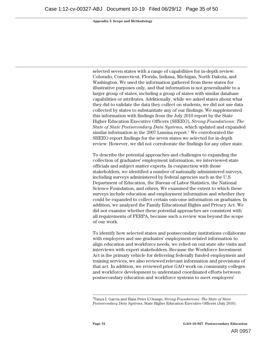selected seven states with a range of capabilities for in-depth review: Colorado, Connecticut, Florida, Indiana, Michigan, North Dakota, and Washington. We used the information gathered from these states for illustrative purposes only, and that information is not generalizable to a larger group of states, including a group of states with similar database capabilities or attributes. Additionally, while we asked states about what they did to validate the data they collect on students, we did not use data collected by states to substantiate any of our findings. We supplemented this information with findings from the July 2010 report by the State Higher Education Executive Officers (SHEEO), *Strong Foundations: The State of State Postsecondary Data Systems,* which updated and expanded similar information in the 2007 Lumina report.<sup>2</sup> We corroborated the SHEEO report findings for the seven states we selected for in-depth review. However, we did not corroborate the findings for any other state.

To describe the potential approaches and challenges to expanding the collection of graduates' employment information, we interviewed state officials and subject matter experts. In conjunction with those stakeholders, we identified a number of nationally administered surveys, including surveys administered by federal agencies such as the U.S. Department of Education, the Bureau of Labor Statistics, the National Science Foundation, and others. We examined the extent to which these surveys include education and employment information and whether they could be expanded to collect certain outcome information on graduates. In addition, we analyzed the Family Educational Rights and Privacy Act. We did not examine whether these potential approaches are consistent with all requirements of FERPA, because such a review was beyond the scope of our work.

To identify how selected states and postsecondary institutions collaborate with employers and use graduates' employment-related information to align education and workforce needs, we relied on our state site visits and interviews with expert stakeholders. Because the Workforce Investment Act is the primary vehicle for delivering federally funded employment and training services, we also reviewed relevant information and provisions of that act. In addition, we reviewed prior GAO work on community colleges and workforce development to understand coordinated efforts between postsecondary education and workforce systems to meet employers'

 $\frac{1}{2}$ Tanya I. Garcia and Hans Peter L'Orange, *Strong Foundations: The State of State Postsecondary Data Systems*, State Higher Education Executive Officers (July 2010).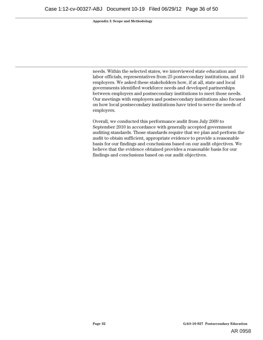needs. Within the selected states, we interviewed state education and labor officials, representatives from 25 postsecondary institutions, and 16 employers. We asked these stakeholders how, if at all, state and local governments identified workforce needs and developed partnerships between employers and postsecondary institutions to meet those needs. Our meetings with employers and postsecondary institutions also focused on how local postsecondary institutions have tried to serve the needs of employers.

Overall, we conducted this performance audit from July 2009 to September 2010 in accordance with generally accepted government auditing standards. Those standards require that we plan and perform the audit to obtain sufficient, appropriate evidence to provide a reasonable basis for our findings and conclusions based on our audit objectives. We believe that the evidence obtained provides a reasonable basis for our findings and conclusions based on our audit objectives.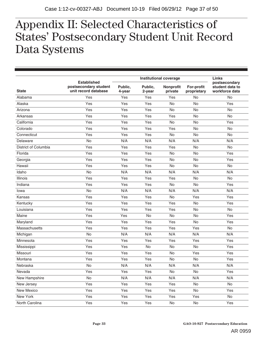## $\mathbf{1}_{\text{c}}$  at a  $\mathbf{1}$   $\mathbf{1}_{\text{c}}$  and  $\mathbf{1}_{\text{c}}$ **States' Postsecondary Student Unit Record**  Appendix II: Selected Characteristics of States' Postsecondary Student Unit Record Data Systems

|                      |                                                                     |                   | <b>Links</b>      |                      |                           |                                                    |
|----------------------|---------------------------------------------------------------------|-------------------|-------------------|----------------------|---------------------------|----------------------------------------------------|
| <b>State</b>         | <b>Established</b><br>postsecondary student<br>unit record database | Public,<br>4-year | Public.<br>2-year | Nonprofit<br>private | For-profit<br>proprietary | postsecondary<br>student data to<br>workforce data |
| Alabama              | Yes                                                                 | Yes               | Yes               | Yes                  | No                        | <b>No</b>                                          |
| Alaska               | Yes                                                                 | Yes               | Yes               | No                   | <b>No</b>                 | Yes                                                |
| Arizona              | Yes                                                                 | Yes               | Yes               | No                   | No                        | No                                                 |
| Arkansas             | Yes                                                                 | Yes               | Yes               | Yes                  | No                        | No                                                 |
| California           | Yes                                                                 | Yes               | Yes               | No                   | No                        | Yes                                                |
| Colorado             | Yes                                                                 | Yes               | Yes               | Yes                  | No                        | No                                                 |
| Connecticut          | Yes                                                                 | Yes               | Yes               | No                   | No                        | No                                                 |
| Delaware             | No                                                                  | N/A               | N/A               | N/A                  | N/A                       | N/A                                                |
| District of Columbia | Yes                                                                 | Yes               | Yes               | Yes                  | <b>No</b>                 | <b>No</b>                                          |
| Florida              | Yes                                                                 | Yes               | Yes               | No                   | No                        | Yes                                                |
| Georgia              | Yes                                                                 | Yes               | Yes               | No                   | No                        | Yes                                                |
| Hawaii               | Yes                                                                 | Yes               | Yes               | No                   | No                        | No                                                 |
| Idaho                | No                                                                  | N/A               | N/A               | N/A                  | N/A                       | N/A                                                |
| Illinois             | Yes                                                                 | Yes               | Yes               | Yes                  | No                        | <b>No</b>                                          |
| Indiana              | Yes                                                                 | Yes               | Yes               | <b>No</b>            | No                        | Yes                                                |
| Iowa                 | No                                                                  | N/A               | N/A               | N/A                  | N/A                       | N/A                                                |
| Kansas               | Yes                                                                 | Yes               | Yes               | No                   | Yes                       | Yes                                                |
| Kentucky             | Yes                                                                 | Yes               | Yes               | Yes                  | No                        | Yes                                                |
| Louisiana            | Yes                                                                 | Yes               | Yes               | Yes                  | No                        | No                                                 |
| Maine                | Yes                                                                 | Yes               | <b>No</b>         | No                   | No                        | Yes                                                |
| Maryland             | Yes                                                                 | Yes               | Yes               | Yes                  | <b>No</b>                 | Yes                                                |
| Massachusetts        | Yes                                                                 | Yes               | Yes               | Yes                  | Yes                       | <b>No</b>                                          |
| Michigan             | No                                                                  | N/A               | N/A               | N/A                  | N/A                       | N/A                                                |
| Minnesota            | Yes                                                                 | Yes               | Yes               | Yes                  | Yes                       | Yes                                                |
| Mississippi          | Yes                                                                 | Yes               | No                | No                   | No                        | Yes                                                |
| Missouri             | Yes                                                                 | Yes               | Yes               | <b>No</b>            | Yes                       | Yes                                                |
| Montana              | Yes                                                                 | Yes               | Yes               | No                   | No                        | Yes                                                |
| Nebraska             | $\mathsf{No}$                                                       | N/A               | N/A               | N/A                  | N/A                       | N/A                                                |
| Nevada               | Yes                                                                 | Yes               | Yes               | No                   | No                        | Yes                                                |
| New Hampshire        | No                                                                  | N/A               | N/A               | N/A                  | N/A                       | N/A                                                |
| New Jersey           | Yes                                                                 | Yes               | Yes               | Yes                  | No                        | No                                                 |
| New Mexico           | Yes                                                                 | Yes               | Yes               | Yes                  | No                        | Yes                                                |
| New York             | Yes                                                                 | Yes               | Yes               | Yes                  | Yes                       | No                                                 |
| North Carolina       | Yes                                                                 | Yes               | Yes               | $\mathsf{No}$        | $\mathsf{No}$             | Yes                                                |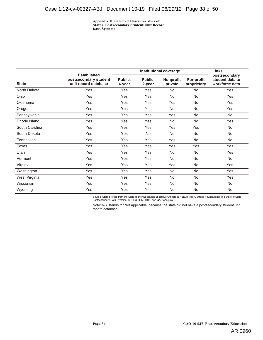**Appendix II: Selected Characteristics of States' Postsecondary Student Unit Record Data Systems** 

|                | <b>Established</b><br>postsecondary student<br>unit record database | <b>Institutional coverage</b> |                      |                             |                                  | <b>Links</b>                                       |
|----------------|---------------------------------------------------------------------|-------------------------------|----------------------|-----------------------------|----------------------------------|----------------------------------------------------|
| <b>State</b>   |                                                                     | Public.<br>4-year             | Public.<br>$2$ -year | <b>Nonprofit</b><br>private | <b>For-profit</b><br>proprietary | postsecondary<br>student data to<br>workforce data |
| North Dakota   | Yes                                                                 | Yes                           | Yes                  | <b>No</b>                   | <b>No</b>                        | Yes                                                |
| Ohio           | Yes                                                                 | Yes                           | Yes                  | No                          | No                               | Yes                                                |
| Oklahoma       | Yes                                                                 | Yes                           | Yes                  | Yes                         | No                               | Yes                                                |
| Oregon         | Yes                                                                 | Yes                           | Yes                  | <b>No</b>                   | <b>No</b>                        | Yes                                                |
| Pennsylvania   | Yes                                                                 | Yes                           | Yes                  | Yes                         | No                               | No                                                 |
| Rhode Island   | Yes                                                                 | Yes                           | Yes                  | No                          | No                               | Yes                                                |
| South Carolina | Yes                                                                 | Yes                           | Yes                  | Yes                         | Yes                              | No                                                 |
| South Dakota   | Yes                                                                 | Yes                           | No                   | No                          | No                               | No                                                 |
| Tennessee      | Yes                                                                 | Yes                           | Yes                  | Yes                         | <b>No</b>                        | No                                                 |
| Texas          | Yes                                                                 | Yes                           | Yes                  | Yes                         | Yes                              | Yes                                                |
| Utah           | Yes                                                                 | Yes                           | Yes                  | No                          | No                               | Yes                                                |
| Vermont        | Yes                                                                 | Yes                           | Yes                  | No                          | No                               | No                                                 |
| Virginia       | Yes                                                                 | Yes                           | Yes                  | Yes                         | <b>No</b>                        | Yes                                                |
| Washington     | Yes                                                                 | Yes                           | Yes                  | No                          | No                               | Yes                                                |
| West Virginia  | Yes                                                                 | Yes                           | Yes                  | No                          | No                               | Yes                                                |
| Wisconsin      | Yes                                                                 | Yes                           | Yes                  | No                          | <b>No</b>                        | No                                                 |
| Wyoming        | Yes                                                                 | Yes                           | Yes                  | No                          | No                               | No                                                 |

Source: State profiles from the State Higher Education Executive Officers (SHEEO) report, Strong Foundations: The State of State<br>Postsecondary Data Systems, SHEEO (July 2010), and GAO analysis.

Note: N/A stands for Not Applicable, because the state did not have a postsecondary student unit record database.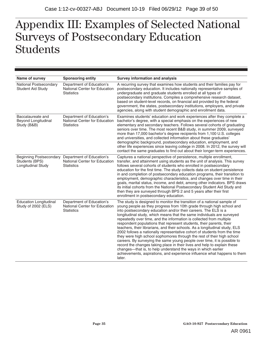## $\mathbf{L}$ **Surveys of Postsecondary Education Students**  Appendix III: Examples of Selected National Surveys of Postsecondary Education Students

| Name of survey                                                 | <b>Sponsoring entity</b>                                                                                | <b>Survey information and analysis</b>                                                                                                                                                                                                                                                                                                                                                                                                                                                                                                                                                                                                                                                                                                                                                                                                                                                                                                                                                             |
|----------------------------------------------------------------|---------------------------------------------------------------------------------------------------------|----------------------------------------------------------------------------------------------------------------------------------------------------------------------------------------------------------------------------------------------------------------------------------------------------------------------------------------------------------------------------------------------------------------------------------------------------------------------------------------------------------------------------------------------------------------------------------------------------------------------------------------------------------------------------------------------------------------------------------------------------------------------------------------------------------------------------------------------------------------------------------------------------------------------------------------------------------------------------------------------------|
|                                                                |                                                                                                         |                                                                                                                                                                                                                                                                                                                                                                                                                                                                                                                                                                                                                                                                                                                                                                                                                                                                                                                                                                                                    |
| National Postsecondary<br>Student Aid Study                    | Department of Education's<br>National Center for Education<br><b>Statistics</b>                         | A recurring survey that examines how students and their families pay for<br>postsecondary education. It includes nationally representative samples of<br>undergraduate and graduate students enrolled at all types of<br>postsecondary institutions. Compiles a comprehensive research dataset,<br>based on student-level records, on financial aid provided by the federal<br>government, the states, postsecondary institutions, employers, and private<br>agencies, along with student demographic and enrollment data.                                                                                                                                                                                                                                                                                                                                                                                                                                                                         |
| Baccalaureate and<br><b>Beyond Longitudinal</b><br>Study (B&B) | Department of Education's<br>National Center for Education<br><b>Statistics</b>                         | Examines students' education and work experiences after they complete a<br>bachelor's degree, with a special emphasis on the experiences of new<br>elementary and secondary teachers. Follows several cohorts of graduating<br>seniors over time. The most recent B&B study, in summer 2009, surveyed<br>more than 17,000 bachelor's degree recipients from 1,100 U.S. colleges<br>and universities, and collected information about these graduates'<br>demographic background, postsecondary education, employment, and<br>other life experiences since leaving college in 2008. In 2012, the survey will<br>contact the same graduates to find out about their longer-term experiences.                                                                                                                                                                                                                                                                                                         |
| Students (BPS)<br><b>Longitudinal Study</b>                    | Beginning Postsecondary Department of Education's<br>National Center for Education<br><b>Statistics</b> | Captures a national perspective of persistence, multiple enrollment,<br>transfer, and attainment using students as the unit of analysis. This survey<br>follows several cohorts of students who enrolled in postsecondary<br>education for the first time. The study collects data on student persistence<br>in and completion of postsecondary education programs, their transition to<br>employment, demographic characteristics, and changes over time in their<br>goals, marital status, income, and debt, among other indicators. BPS draws<br>its initial cohorts from the National Postsecondary Student Aid Study and<br>then they are surveyed through BPS 2 and 5 years after their first<br>enrollment in postsecondary education.                                                                                                                                                                                                                                                      |
| <b>Education Longitudinal</b><br>Study of 2002 (ELS)           | Department of Education's<br>National Center for Education<br><b>Statistics</b>                         | The study is designed to monitor the transition of a national sample of<br>young people as they progress from 10th grade through high school and<br>into postsecondary education and/or their careers. The ELS is a<br>longitudinal study, which means that the same individuals are surveyed<br>repeatedly over time, and the information is collected from multiple<br>respondent populations that represent students, their parents, their<br>teachers, their librarians, and their schools. As a longitudinal study, ELS<br>2002 follows a nationally representative cohort of students from the time<br>they were high school sophomores through the rest of their high school<br>careers. By surveying the same young people over time, it is possible to<br>record the changes taking place in their lives and help to explain these<br>changes—that is, to help understand the ways in which earlier<br>achievements, aspirations, and experience influence what happens to them<br>later. |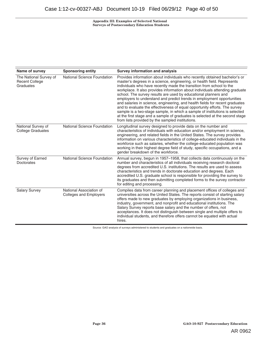**Appendix III: Examples of Selected National Surveys of Postsecondary Education Students** 

| Name of survey                                               | <b>Sponsoring entity</b>                                 | <b>Survey information and analysis</b>                                                                                                                                                                                                                                                                                                                                                                                                                                                                                                                                                                                                                                                                                                                                                                                                      |
|--------------------------------------------------------------|----------------------------------------------------------|---------------------------------------------------------------------------------------------------------------------------------------------------------------------------------------------------------------------------------------------------------------------------------------------------------------------------------------------------------------------------------------------------------------------------------------------------------------------------------------------------------------------------------------------------------------------------------------------------------------------------------------------------------------------------------------------------------------------------------------------------------------------------------------------------------------------------------------------|
| The National Survey of<br><b>Recent College</b><br>Graduates | National Science Foundation                              | Provides information about individuals who recently obtained bachelor's or<br>master's degrees in a science, engineering, or health field. Represents<br>individuals who have recently made the transition from school to the<br>workplace. It also provides information about individuals attending graduate<br>school. The survey results are used by educational planners and<br>employers to understand and predict trends in employment opportunities<br>and salaries in science, engineering, and health fields for recent graduates<br>and to evaluate the effectiveness of equal opportunity efforts. The survey<br>sample is a two-stage sample, in which a sample of institutions is selected<br>at the first stage and a sample of graduates is selected at the second stage<br>from lists provided by the sampled institutions. |
| National Survey of<br><b>College Graduates</b>               | National Science Foundation                              | Longitudinal survey designed to provide data on the number and<br>characteristics of individuals with education and/or employment in science,<br>engineering, and related fields in the United States. The survey provides<br>information on various characteristics of college-educated individuals in the<br>workforce such as salaries, whether the college-educated population was<br>working in their highest degree field of study, specific occupations, and a<br>gender breakdown of the workforce.                                                                                                                                                                                                                                                                                                                                 |
| Survey of Earned<br>Doctorates                               | National Science Foundation                              | Annual survey, begun in 1957–1958, that collects data continuously on the<br>number and characteristics of all individuals receiving research doctoral<br>degrees from accredited U.S. institutions. The results are used to assess<br>characteristics and trends in doctorate education and degrees. Each<br>accredited U.S. graduate school is responsible for providing the survey to<br>its graduates and then submitting completed forms to the survey contractor<br>for editing and processing.                                                                                                                                                                                                                                                                                                                                       |
| <b>Salary Survey</b>                                         | National Association of<br><b>Colleges and Employers</b> | Compiles data from career planning and placement offices of colleges and<br>universities across the United States. The reports consist of starting salary<br>offers made to new graduates by employing organizations in business,<br>industry, government, and nonprofit and educational institutions. The<br>Salary Survey reports base salary and the number of offers, not<br>acceptances. It does not distinguish between single and multiple offers to<br>individual students, and therefore offers cannot be equated with actual<br>hires.                                                                                                                                                                                                                                                                                            |

Source: GAO analysis of surveys administered to students and graduates on a nationwide basis.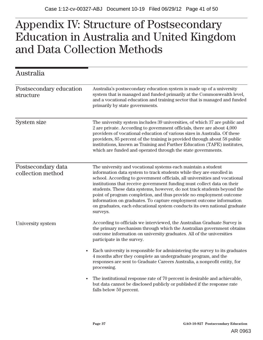#### **Appendix IV: St Educ and Data Co**  $\mathbf{r}$   $\mathbf{r}$   $\mathbf{r}$   $\mathbf{r}$   $\mathbf{r}$ **ation in Australia and United Kingdom**  Appendix IV: Structure of Postsecondary Education in Australia and United Kingdom and Data Collection Methods

| Australia                               |                                                                                                                                                                                                                                                                                                                                                                                                                                                                                                                                                                                                                 |
|-----------------------------------------|-----------------------------------------------------------------------------------------------------------------------------------------------------------------------------------------------------------------------------------------------------------------------------------------------------------------------------------------------------------------------------------------------------------------------------------------------------------------------------------------------------------------------------------------------------------------------------------------------------------------|
| Postsecondary education<br>structure    | Australia's postsecondary education system is made up of a university<br>system that is managed and funded primarily at the Commonwealth level,<br>and a vocational education and training sector that is managed and funded<br>primarily by state governments.                                                                                                                                                                                                                                                                                                                                                 |
| <b>System size</b>                      | The university system includes 39 universities, of which 37 are public and<br>2 are private. According to government officials, there are about 4,000<br>providers of vocational education of various sizes in Australia. Of these<br>providers, 85 percent of the training is provided through about 58 public<br>institutions, known as Training and Further Education (TAFE) institutes,<br>which are funded and operated through the state governments.                                                                                                                                                     |
| Postsecondary data<br>collection method | The university and vocational systems each maintain a student<br>information data system to track students while they are enrolled in<br>school. According to government officials, all universities and vocational<br>institutions that receive government funding must collect data on their<br>students. These data systems, however, do not track students beyond the<br>point of program completion, and thus provide no employment outcome<br>information on graduates. To capture employment outcome information<br>on graduates, each educational system conducts its own national graduate<br>surveys. |
| University system                       | According to officials we interviewed, the Australian Graduate Survey is<br>the primary mechanism through which the Australian government obtains<br>outcome information on university graduates. All of the universities<br>participate in the survey.                                                                                                                                                                                                                                                                                                                                                         |
| $\bullet$                               | Each university is responsible for administering the survey to its graduates<br>4 months after they complete an undergraduate program, and the<br>responses are sent to Graduate Careers Australia, a nonprofit entity, for<br>processing.                                                                                                                                                                                                                                                                                                                                                                      |
| $\bullet$                               | The institutional response rate of 70 percent is desirable and achievable,<br>but data cannot be disclosed publicly or published if the response rate<br>falls below 50 percent.                                                                                                                                                                                                                                                                                                                                                                                                                                |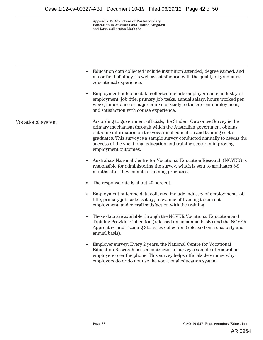**Appendix IV: Structure of Postsecondary Education in Australia and United Kingdom and Data Collection Methods** 

|                   | Education data collected include institution attended, degree earned, and<br>major field of study, as well as satisfaction with the quality of graduates'<br>educational experience.                                                                                                                                                                                                            |
|-------------------|-------------------------------------------------------------------------------------------------------------------------------------------------------------------------------------------------------------------------------------------------------------------------------------------------------------------------------------------------------------------------------------------------|
|                   | Employment outcome data collected include employer name, industry of<br>employment, job title, primary job tasks, annual salary, hours worked per<br>week, importance of major course of study to the current employment,<br>and satisfaction with course experience.                                                                                                                           |
| Vocational system | According to government officials, the Student Outcomes Survey is the<br>primary mechanism through which the Australian government obtains<br>outcome information on the vocational education and training sector<br>graduates. This survey is a sample survey conducted annually to assess the<br>success of the vocational education and training sector in improving<br>employment outcomes. |
|                   | Australia's National Centre for Vocational Education Research (NCVER) is<br>$\bullet$<br>responsible for administering the survey, which is sent to graduates 6-9<br>months after they complete training programs.                                                                                                                                                                              |
|                   | The response rate is about 40 percent.                                                                                                                                                                                                                                                                                                                                                          |
|                   | Employment outcome data collected include industry of employment, job<br>title, primary job tasks, salary, relevance of training to current<br>employment, and overall satisfaction with the training.                                                                                                                                                                                          |
|                   | These data are available through the NCVER Vocational Education and<br>$\bullet$<br>Training Provider Collection (released on an annual basis) and the NCVER<br>Apprentice and Training Statistics collection (released on a quarterly and<br>annual basis).                                                                                                                                    |
|                   | Employer survey: Every 2 years, the National Centre for Vocational<br>Education Research uses a contractor to survey a sample of Australian<br>employers over the phone. This survey helps officials determine why<br>employers do or do not use the vocational education system.                                                                                                               |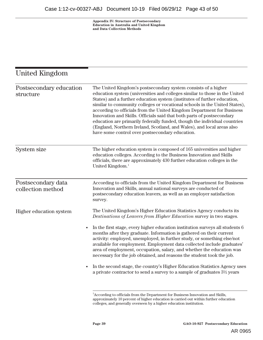**Appendix IV: Structure of Postsecondary Education in Australia and United Kingdom and Data Collection Methods** 

## United Kingdom

| Postsecondary education<br>structure    | The United Kingdom's postsecondary system consists of a higher<br>education system (universities and colleges similar to those in the United<br>States) and a further education system (institutes of further education,<br>similar to community colleges or vocational schools in the United States),<br>according to officials from the United Kingdom Department for Business<br>Innovation and Skills. Officials said that both parts of postsecondary<br>education are primarily federally funded, though the individual countries<br>(England, Northern Ireland, Scotland, and Wales), and local areas also<br>have some control over postsecondary education.                                                                                                 |
|-----------------------------------------|----------------------------------------------------------------------------------------------------------------------------------------------------------------------------------------------------------------------------------------------------------------------------------------------------------------------------------------------------------------------------------------------------------------------------------------------------------------------------------------------------------------------------------------------------------------------------------------------------------------------------------------------------------------------------------------------------------------------------------------------------------------------|
| System size                             | The higher education system is composed of 165 universities and higher<br>education colleges. According to the Business Innovation and Skills<br>officials, there are approximately 430 further education colleges in the<br>United Kingdom. <sup>1</sup>                                                                                                                                                                                                                                                                                                                                                                                                                                                                                                            |
| Postsecondary data<br>collection method | According to officials from the United Kingdom Department for Business<br>Innovation and Skills, annual national surveys are conducted of<br>postsecondary education leavers, as well as an employer satisfaction<br>survey.                                                                                                                                                                                                                                                                                                                                                                                                                                                                                                                                         |
| Higher education system                 | The United Kingdom's Higher Education Statistics Agency conducts its<br>Destinations of Leavers from Higher Education survey in two stages.<br>In the first stage, every higher education institution surveys all students 6<br>months after they graduate. Information is gathered on their current<br>activity: employed, unemployed, in further study, or something else/not<br>available for employment. Employment data collected include graduates'<br>area of employment, occupation, salary, and whether the education was<br>necessary for the job obtained, and reasons the student took the job.<br>In the second stage, the country's Higher Education Statistics Agency uses<br>a private contractor to send a survey to a sample of graduates 3½ years |
|                                         | $1_{A}$ $1_{A}$ and $1_{A}$ and $e^{a}$ is the function of $B$ and $e^{a}$ and $f$ and $f$ and $f$ and $f$ and $f$ and $f$ and $f$ and $f$ and $f$ and $f$ and $f$ and $f$ and $f$ and $f$ and $f$ and $f$ and $f$ and $f$ and                                                                                                                                                                                                                                                                                                                                                                                                                                                                                                                                       |

According to officials from the Department for Business Innovation and Skills, approximately 10 percent of higher education is carried out within further education colleges, and generally overseen by a higher education institution.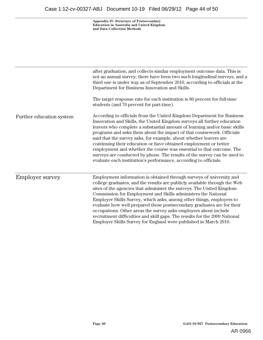**Appendix IV: Structure of Postsecondary Education in Australia and United Kingdom and Data Collection Methods** 

|                          | after graduation, and collects similar employment outcome data. This is<br>not an annual survey; there have been two such longitudinal surveys, and a<br>third one is under way as of September 2010, according to officials at the<br>Department for Business Innovation and Skills.<br>The target response rate for each institution is 80 percent for full-time<br>students (and 70 percent for part-time).                                                                                                                                                                                                                                                           |  |  |  |
|--------------------------|--------------------------------------------------------------------------------------------------------------------------------------------------------------------------------------------------------------------------------------------------------------------------------------------------------------------------------------------------------------------------------------------------------------------------------------------------------------------------------------------------------------------------------------------------------------------------------------------------------------------------------------------------------------------------|--|--|--|
| Further education system | According to officials from the United Kingdom Department for Business<br>Innovation and Skills, the United Kingdom surveys all further education<br>leavers who complete a substantial amount of learning and/or basic skills<br>programs and asks them about the impact of that coursework. Officials<br>said that the survey asks, for example, about whether leavers are<br>continuing their education or have obtained employment or better<br>employment and whether the course was essential to that outcome. The<br>surveys are conducted by phone. The results of the survey can be used to<br>evaluate each institution's performance, according to officials. |  |  |  |
| <b>Employer survey</b>   | Employment information is obtained through surveys of university and<br>college graduates, and the results are publicly available through the Web<br>sites of the agencies that administer the surveys. The United Kingdom<br>Commission for Employment and Skills administers the National<br>Employer Skills Survey, which asks, among other things, employers to<br>evaluate how well prepared these postsecondary graduates are for their<br>occupations. Other areas the survey asks employers about include<br>recruitment difficulties and skill gaps. The results for the 2009 National<br>Employer Skills Survey for England were published in March 2010.      |  |  |  |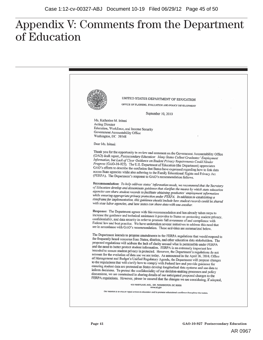## Appendix V: Comments from the Department of Education

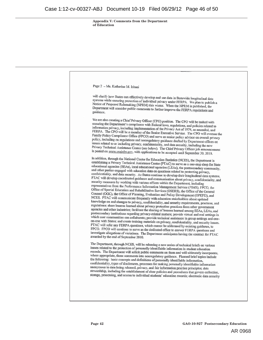**Appendix V: Comments from the Department of Education** 

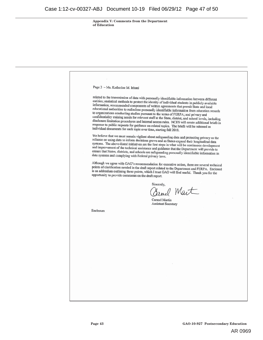**Appendix V: Comments from the Department of Education** 

Page 3 - Ms. Katherine M. Iritani related to the transmission of data with personally identifiable information between different<br>entities: statistical methods to protect the identity of the distribution entities; statistical methods to protect the identity of individual students in publicly available<br>information: recommended to protect the identity of individual students in publicly available information; recommended components of written agreements that permit State and local<br>information; recommended components of written agreements that permit State and local<br>educational authorities to redisclose newspall, i. educational authorities to redisclose personally identifiable information from education records to organizations conducting studies pursuant to the terms of FERPA; and privacy and confidentiality training needs for relevant staff at the State, district, and school levels, including<br>disclosure limitation procedures and intervals and school levels, including disclosure limitation procedures and internal access rules. NCES will create additional briefs in response to public requests for guidance on related topics. The briefs will be released as individual documents for each topic over time, starting fall 2010. We believe that we must remain vigilant about safeguarding data and protecting privacy as the reliance on using data to inform docisions were reliance on using data to inform decisions grows and as States expand their longitudinal data systems. The above-listed initiatives are the first steps in what will be continuous development<br>and improvement of the technical scaling states in what will be continuous development and improvement of the technical assistance and guidance that the Department will provide to ensure that States, districts, and schools are safeguarding personally identifiable information in<br>data systems and complying with Eederal minor than the personally identifiable information in data systems and complying with Federal privacy laws. Although we agree with GAO's recommendation for executive action, there are several technical<br>points of clarification needed in the duck research of the studies action, there are several technical points of clarification needed in the draft report related to the Department and FERPA. Enclosed is an addendum outlining these points, which I trust GAO will find useful. Thank you for the opportunity to provide comments on the draft report. Sincerely,  $0$  Mart Carmel Martin **Assistant Secretary** Enclosure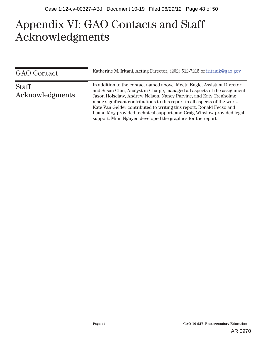#### $\Lambda \cap \Lambda$ **A GAO Contacts and Staff cknowledgments**  Appendix VI: GAO Contacts and Staff Acknowledgments

| <b>GAO</b> Contact              | Katherine M. Iritani, Acting Director, (202) 512-7215 or iritanik@gao.gov                                                                                                                                                                                                                                                                                                                                                                                                                                               |
|---------------------------------|-------------------------------------------------------------------------------------------------------------------------------------------------------------------------------------------------------------------------------------------------------------------------------------------------------------------------------------------------------------------------------------------------------------------------------------------------------------------------------------------------------------------------|
| <b>Staff</b><br>Acknowledgments | In addition to the contact named above, Meeta Engle, Assistant Director,<br>and Susan Chin, Analyst-in-Charge, managed all aspects of the assignment.<br>Jason Holsclaw, Andrew Nelson, Nancy Purvine, and Katy Trenholme<br>made significant contributions to this report in all aspects of the work.<br>Kate Van Gelder contributed to writing this report. Ronald Fecso and<br>Luann Moy provided technical support, and Craig Winslow provided legal<br>support. Mimi Nguyen developed the graphics for the report. |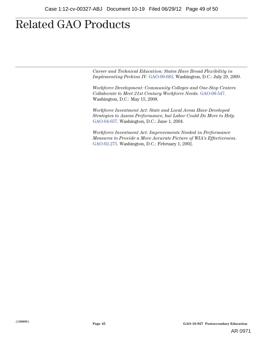## **Related GAO Products**

*Career and Technical Education: States Have Broad Flexibility in Implementing Perkins IV.* GAO-09-683. Washington, D.C.: July 29, 2009.

*Workforce Development: Community Colleges and One-Stop Centers Collaborate to Meet 21st Century Workforce Needs.* GAO-08-547. Washington, D.C.: May 15, 2008.

*Workforce Investment Act: State and Local Areas Have Developed Strategies to Assess Performance, but Labor Could Do More to Help.* GAO-04-657. Washington, D.C.: June 1, 2004.

*Workforce Investment Act: Improvements Needed in Performance Measures to Provide a More Accurate Picture of WIA's Effectiveness*. GAO-02-275. Washington, D.C.: February 1, 2002.